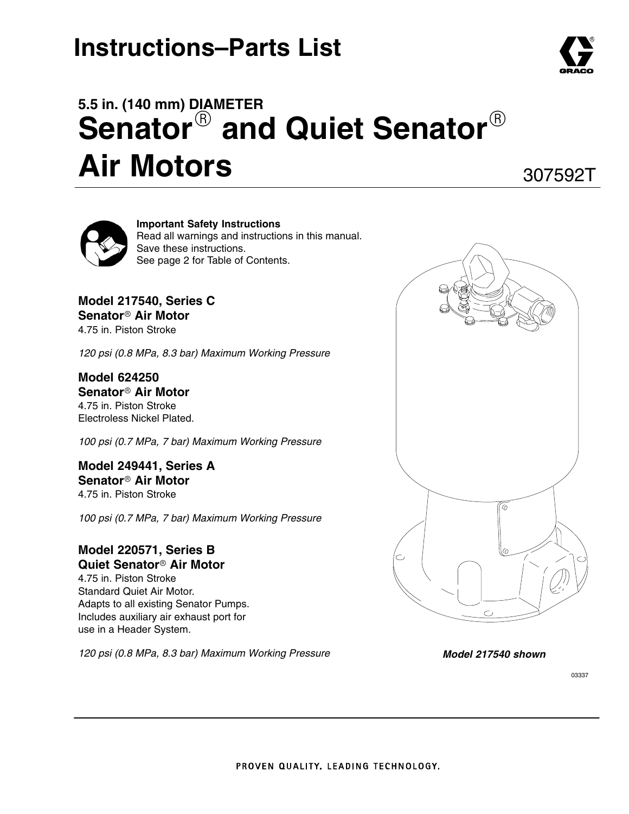# **Instructions–Parts List**



307592T



**Important Safety Instructions** Read all warnings and instructions in this manual. Save these instructions. See page 2 for Table of Contents.

**Model 217540, Series C Senator Air Motor** 4.75 in. Piston Stroke

*120 psi (0.8 MPa, 8.3 bar) Maximum Working Pressure*

**Model 624250 Senator Air Motor** 4.75 in. Piston Stroke Electroless Nickel Plated.

*100 psi (0.7 MPa, 7 bar) Maximum Working Pressure*

**Model 249441, Series A Senator Air Motor** 4.75 in. Piston Stroke

*100 psi (0.7 MPa, 7 bar) Maximum Working Pressure*

#### **Model 220571, Series B Quiet Senator Air Motor**

4.75 in. Piston Stroke Standard Quiet Air Motor. Adapts to all existing Senator Pumps. Includes auxiliary air exhaust port for use in a Header System.

*120 psi (0.8 MPa, 8.3 bar) Maximum Working Pressure*



*Model 217540 shown*

03337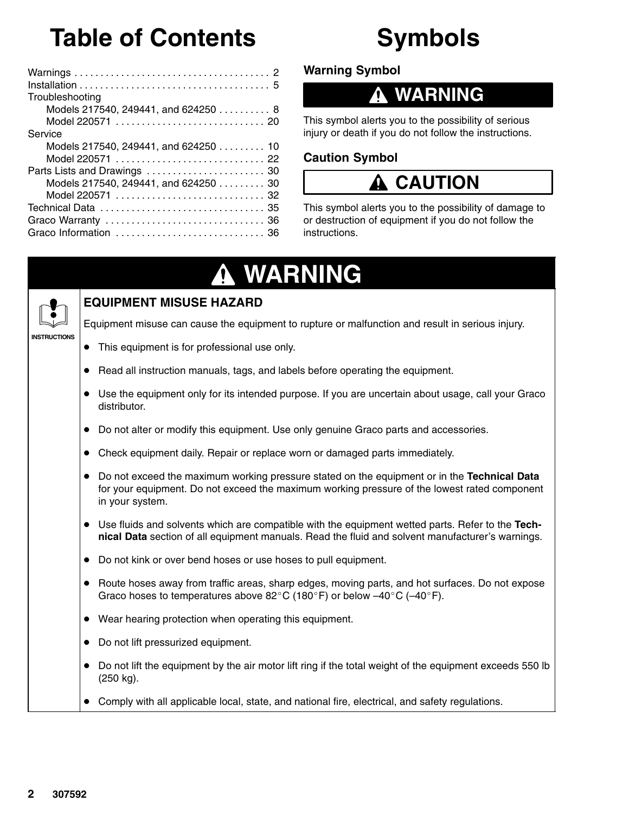# **Table of Contents**

#### Warnings 2 . . . . . . . . . . . . . . . . . . . . . . . . . . . . . . . . . . . . . . Installation 5 . . . . . . . . . . . . . . . . . . . . . . . . . . . . . . . . . . . . . Troubleshooting Models 217540, 249441, and 624250 . . . . . . . . . 8 Model 220571 20 . . . . . . . . . . . . . . . . . . . . . . . . . . . . . Service Models 217540, 249441, and  $624250...$ ...... 10 Model 220571 22 . . . . . . . . . . . . . . . . . . . . . . . . . . . . . Parts Lists and Drawings 30 . . . . . . . . . . . . . . . . . . . . . . . Models 217540, 249441, and 624250 . . . . . . . . 30 Model 220571 32 . . . . . . . . . . . . . . . . . . . . . . . . . . . . . Technical Data 35 . . . . . . . . . . . . . . . . . . . . . . . . . . . . . . . . Graco Warranty 36 . . . . . . . . . . . . . . . . . . . . . . . . . . . . . . . Graco Information 36 . . . . . . . . . . . . . . . . . . . . . . . . . . . . .

# **Symbols**

**Warning Symbol**

## **WARNING**

This symbol alerts you to the possibility of serious injury or death if you do not follow the instructions.

### **Caution Symbol**

## **CAUTION**

This symbol alerts you to the possibility of damage to or destruction of equipment if you do not follow the instructions.

# **WARNING**



**INSTRUCTIONS**

### **EQUIPMENT MISUSE HAZARD**

Equipment misuse can cause the equipment to rupture or malfunction and result in serious injury.

- This equipment is for professional use only.
- Read all instruction manuals, tags, and labels before operating the equipment.
- Use the equipment only for its intended purpose. If you are uncertain about usage, call your Graco distributor.
- Do not alter or modify this equipment. Use only genuine Graco parts and accessories.
- Check equipment daily. Repair or replace worn or damaged parts immediately.
- Do not exceed the maximum working pressure stated on the equipment or in the **Technical Data** for your equipment. Do not exceed the maximum working pressure of the lowest rated component in your system.
- Use fluids and solvents which are compatible with the equipment wetted parts. Refer to the **Technical Data** section of all equipment manuals. Read the fluid and solvent manufacturer's warnings.
- Do not kink or over bend hoses or use hoses to pull equipment.
- Route hoses away from traffic areas, sharp edges, moving parts, and hot surfaces. Do not expose Graco hoses to temperatures above 82 $^{\circ}$ C (180 $^{\circ}$ F) or below -40 $^{\circ}$ C (-40 $^{\circ}$ F).
- Wear hearing protection when operating this equipment.
- Do not lift pressurized equipment.
- Do not lift the equipment by the air motor lift ring if the total weight of the equipment exceeds 550 lb (250 kg).
- Comply with all applicable local, state, and national fire, electrical, and safety regulations.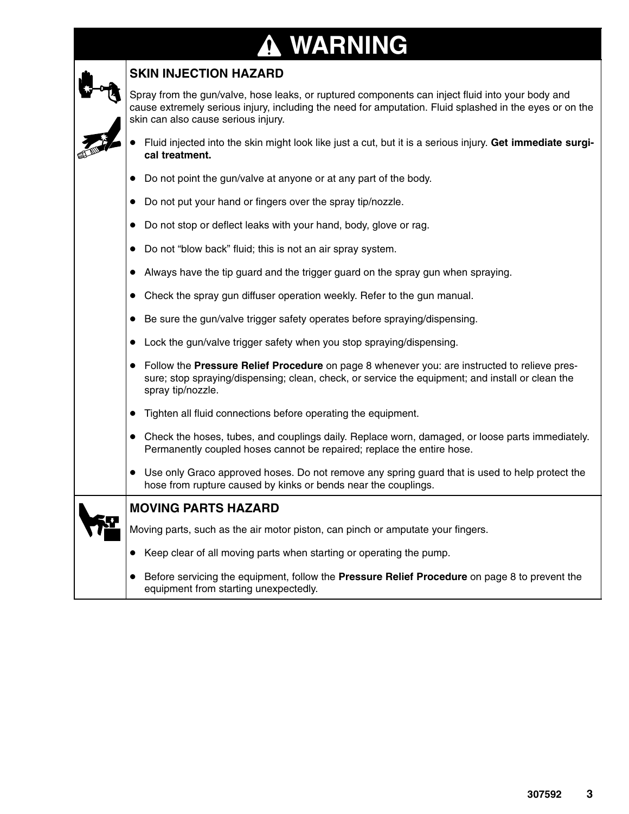### **WARNING ↑**

### **SKIN INJECTION HAZARD**

Spray from the gun/valve, hose leaks, or ruptured components can inject fluid into your body and cause extremely serious injury, including the need for amputation. Fluid splashed in the eyes or on the skin can also cause serious injury.

|  | $\Box$ • Fluid injected into the skin might look like just a cut, but it is a serious injury. Get immediate surgi- |
|--|--------------------------------------------------------------------------------------------------------------------|
|  | cal treatment.                                                                                                     |

- Do not point the gun/valve at anyone or at any part of the body.
- Do not put your hand or fingers over the spray tip/nozzle.
- Do not stop or deflect leaks with your hand, body, glove or rag.
- Do not "blow back" fluid; this is not an air spray system.
- Always have the tip guard and the trigger guard on the spray gun when spraying.
- Check the spray gun diffuser operation weekly. Refer to the gun manual.
- Be sure the gun/valve trigger safety operates before spraying/dispensing.
- Lock the gun/valve trigger safety when you stop spraying/dispensing.
- Follow the **Pressure Relief Procedure** on page 8 whenever you: are instructed to relieve pressure; stop spraying/dispensing; clean, check, or service the equipment; and install or clean the spray tip/nozzle.
- Tighten all fluid connections before operating the equipment.
- Check the hoses, tubes, and couplings daily. Replace worn, damaged, or loose parts immediately. Permanently coupled hoses cannot be repaired; replace the entire hose.
- Use only Graco approved hoses. Do not remove any spring guard that is used to help protect the hose from rupture caused by kinks or bends near the couplings.

### **MOVING PARTS HAZARD**

Moving parts, such as the air motor piston, can pinch or amputate your fingers.

- Keep clear of all moving parts when starting or operating the pump.
- **Before servicing the equipment, follow the Pressure Relief Procedure** on page 8 to prevent the equipment from starting unexpectedly.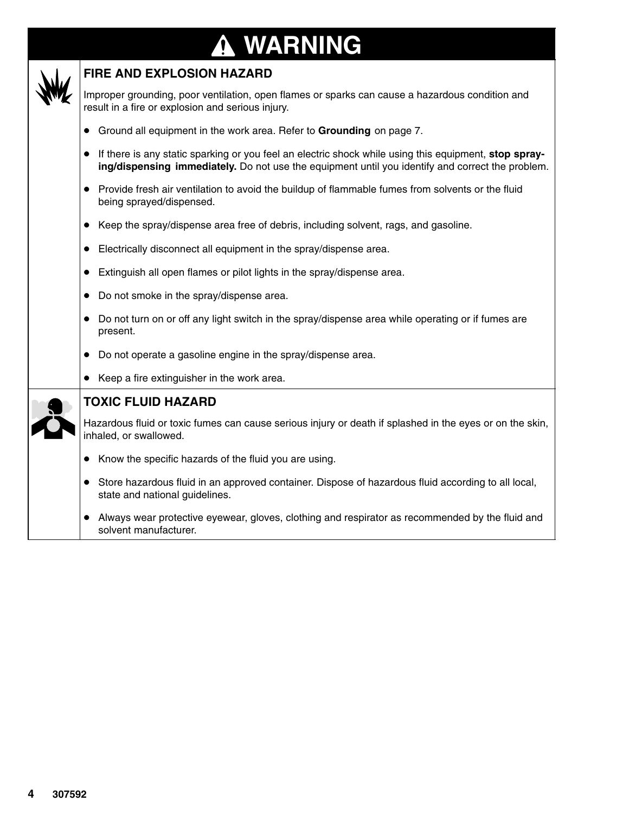### **WARNING ↑**



### **FIRE AND EXPLOSION HAZARD**

Improper grounding, poor ventilation, open flames or sparks can cause a hazardous condition and result in a fire or explosion and serious injury.

- Ground all equipment in the work area. Refer to **Grounding** on page 7.
- If there is any static sparking or you feel an electric shock while using this equipment, **stop spraying/dispensing immediately.** Do not use the equipment until you identify and correct the problem.
- Provide fresh air ventilation to avoid the buildup of flammable fumes from solvents or the fluid being sprayed/dispensed.
- Keep the spray/dispense area free of debris, including solvent, rags, and gasoline.
- Electrically disconnect all equipment in the spray/dispense area.
- Extinguish all open flames or pilot lights in the spray/dispense area.
- Do not smoke in the spray/dispense area.
- Do not turn on or off any light switch in the spray/dispense area while operating or if fumes are present.
- Do not operate a gasoline engine in the spray/dispense area.
- Keep a fire extinguisher in the work area.



### **TOXIC FLUID HAZARD**

Hazardous fluid or toxic fumes can cause serious injury or death if splashed in the eyes or on the skin, inhaled, or swallowed.

- Know the specific hazards of the fluid you are using.
- Store hazardous fluid in an approved container. Dispose of hazardous fluid according to all local, state and national guidelines.
- Always wear protective eyewear, gloves, clothing and respirator as recommended by the fluid and solvent manufacturer.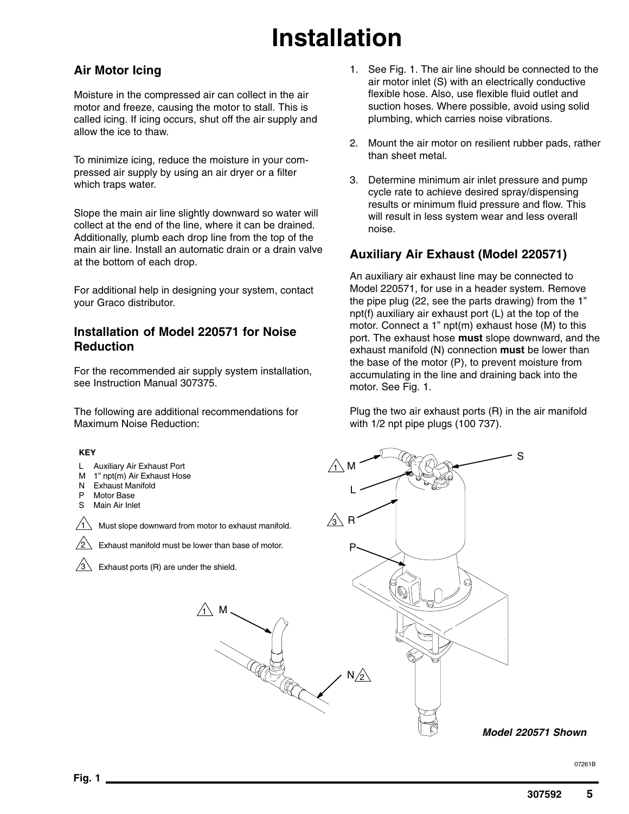# **Installation**

### **Air Motor Icing**

Moisture in the compressed air can collect in the air motor and freeze, causing the motor to stall. This is called icing. If icing occurs, shut off the air supply and allow the ice to thaw.

To minimize icing, reduce the moisture in your compressed air supply by using an air dryer or a filter which traps water.

Slope the main air line slightly downward so water will collect at the end of the line, where it can be drained. Additionally, plumb each drop line from the top of the main air line. Install an automatic drain or a drain valve at the bottom of each drop.

For additional help in designing your system, contact your Graco distributor.

### **Installation of Model 220571 for Noise Reduction**

For the recommended air supply system installation, see Instruction Manual 307375.

The following are additional recommendations for Maximum Noise Reduction:

#### **KEY**

- L Auxiliary Air Exhaust Port
- M 1" npt(m) Air Exhaust Hose
- N Exhaust Manifold
- P Motor Base<br>S Main Air Ink
- **Main Air Inlet**

1 Must slope downward from motor to exhaust manifold.



Exhaust manifold must be lower than base of motor.

 $\overline{11}$  M

Exhaust ports (R) are under the shield.

- 1. See Fig. 1. The air line should be connected to the air motor inlet (S) with an electrically conductive flexible hose. Also, use flexible fluid outlet and suction hoses. Where possible, avoid using solid plumbing, which carries noise vibrations.
- 2. Mount the air motor on resilient rubber pads, rather than sheet metal.
- 3. Determine minimum air inlet pressure and pump cycle rate to achieve desired spray/dispensing results or minimum fluid pressure and flow. This will result in less system wear and less overall noise.

### **Auxiliary Air Exhaust (Model 220571)**

An auxiliary air exhaust line may be connected to Model 220571, for use in a header system. Remove the pipe plug (22, see the parts drawing) from the 1" npt(f) auxiliary air exhaust port (L) at the top of the motor. Connect a 1" npt(m) exhaust hose (M) to this port. The exhaust hose **must** slope downward, and the exhaust manifold (N) connection **must** be lower than the base of the motor (P), to prevent moisture from accumulating in the line and draining back into the motor. See Fig. 1.

Plug the two air exhaust ports (R) in the air manifold with 1/2 npt pipe plugs (100 737).

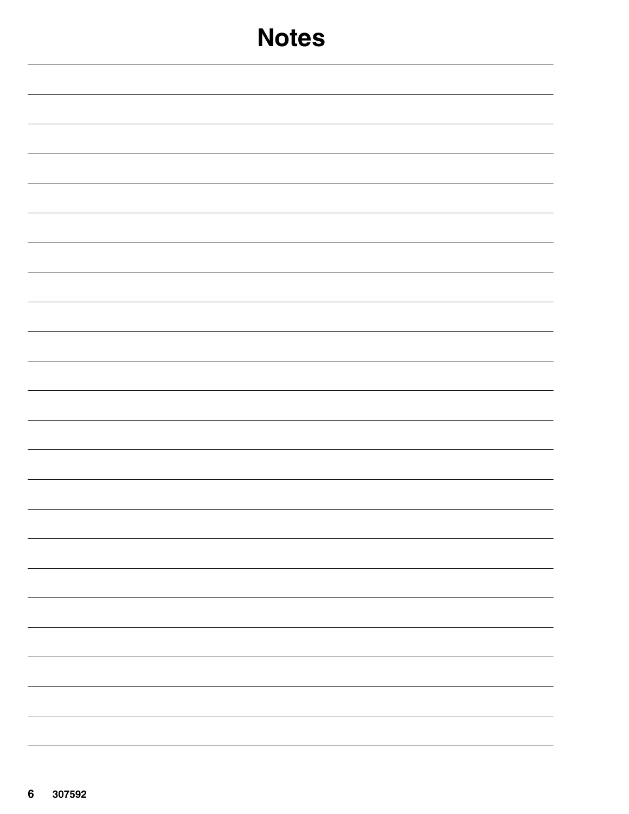| <b>Notes</b> |
|--------------|
|              |
|              |
|              |
|              |
|              |
|              |
|              |
|              |
|              |
|              |
|              |
|              |
|              |
|              |
|              |
|              |
|              |
|              |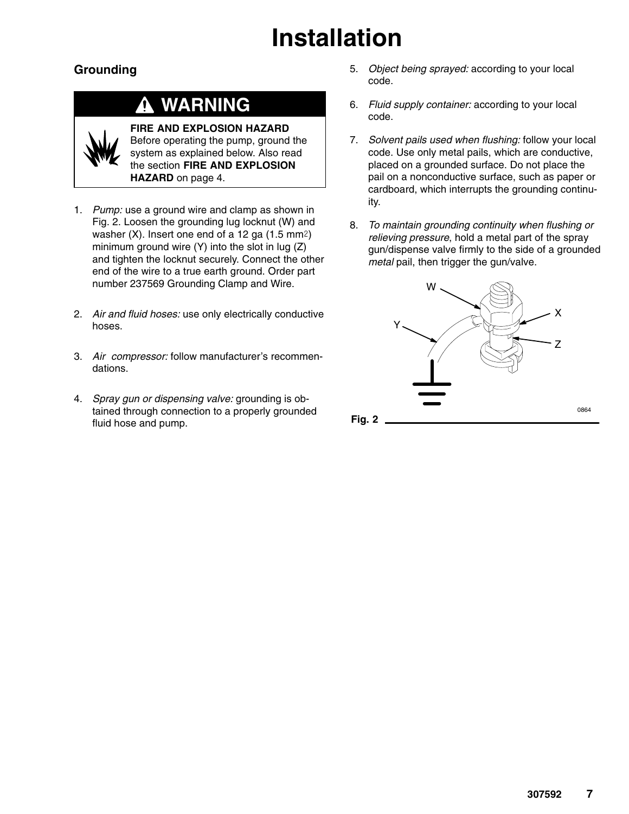# **Installation**

### **Grounding**

## **WARNING**



**FIRE AND EXPLOSION HAZARD** Before operating the pump, ground the system as explained below. Also read the section **FIRE AND EXPLOSION HAZARD** on page 4.

- 1. *Pump:* use a ground wire and clamp as shown in Fig. 2. Loosen the grounding lug locknut (W) and washer  $(X)$ . Insert one end of a 12 ga  $(1.5 \text{ mm}^2)$ minimum ground wire  $(Y)$  into the slot in lug  $(Z)$ and tighten the locknut securely. Connect the other end of the wire to a true earth ground. Order part number 237569 Grounding Clamp and Wire.
- 2. *Air and fluid hoses:* use only electrically conductive hoses.
- 3. *Air compressor:* follow manufacturer's recommendations.
- 4. *Spray gun or dispensing valve:* grounding is obtained through connection to a properly grounded fluid hose and pump.
- 5. *Object being sprayed:* according to your local code.
- 6. *Fluid supply container:* according to your local code.
- 7. *Solvent pails used when flushing:* follow your local code. Use only metal pails, which are conductive, placed on a grounded surface. Do not place the pail on a nonconductive surface, such as paper or cardboard, which interrupts the grounding continuity.
- 8. *To maintain grounding continuity when flushing or relieving pressure*, hold a metal part of the spray gun/dispense valve firmly to the side of a grounded *metal* pail, then trigger the gun/valve.

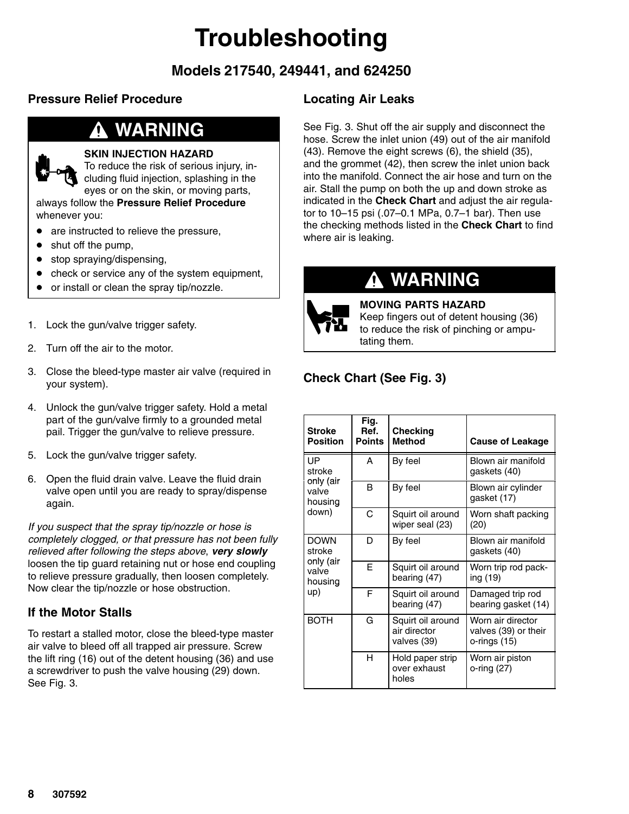# **Troubleshooting**

### **Models 217540, 249441, and 624250**

### **Pressure Relief Procedure**

### **WARNING**



### **SKIN INJECTION HAZARD**

To reduce the risk of serious injury, including fluid injection, splashing in the eyes or on the skin, or moving parts,

always follow the **Pressure Relief Procedure** whenever you:

- are instructed to relieve the pressure,
- shut off the pump,
- stop spraying/dispensing,
- check or service any of the system equipment,
- or install or clean the spray tip/nozzle.
- 1. Lock the gun/valve trigger safety.
- 2. Turn off the air to the motor.
- 3. Close the bleed-type master air valve (required in your system).
- 4. Unlock the gun/valve trigger safety. Hold a metal part of the gun/valve firmly to a grounded metal pail. Trigger the gun/valve to relieve pressure.
- 5. Lock the gun/valve trigger safety.
- 6. Open the fluid drain valve. Leave the fluid drain valve open until you are ready to spray/dispense again.

*If you suspect that the spray tip/nozzle or hose is completely clogged, or that pressure has not been fully relieved after following the steps above*, *very slowly* loosen the tip guard retaining nut or hose end coupling to relieve pressure gradually, then loosen completely. Now clear the tip/nozzle or hose obstruction.

### **If the Motor Stalls**

To restart a stalled motor, close the bleed-type master air valve to bleed off all trapped air pressure. Screw the lift ring (16) out of the detent housing (36) and use a screwdriver to push the valve housing (29) down. See Fig. 3.

### **Locating Air Leaks**

See Fig. 3. Shut off the air supply and disconnect the hose. Screw the inlet union (49) out of the air manifold (43). Remove the eight screws (6), the shield (35), and the grommet (42), then screw the inlet union back into the manifold. Connect the air hose and turn on the air. Stall the pump on both the up and down stroke as indicated in the **Check Chart** and adjust the air regulator to 10–15 psi (.07–0.1 MPa, 0.7–1 bar). Then use the checking methods listed in the **Check Chart** to find where air is leaking.

### **WARNING**



**MOVING PARTS HAZARD** Keep fingers out of detent housing (36) to reduce the risk of pinching or amputating them.

### **Check Chart (See Fig. 3)**

| <b>Stroke</b><br><b>Position</b> | Fig.<br>Ref.<br><b>Points</b> | <b>Checking</b><br><b>Method</b>                 | <b>Cause of Leakage</b>                                   |
|----------------------------------|-------------------------------|--------------------------------------------------|-----------------------------------------------------------|
| UP<br>stroke                     | A                             | By feel                                          | Blown air manifold<br>gaskets (40)                        |
| only (air<br>valve<br>housing    | B                             | By feel                                          | Blown air cylinder<br>gasket (17)                         |
| down)                            | C                             | Squirt oil around<br>wiper seal (23)             | Worn shaft packing<br>(20)                                |
| <b>DOWN</b><br>stroke            | D                             | By feel                                          | Blown air manifold<br>gaskets (40)                        |
| only (air<br>valve<br>housing    | F                             | Squirt oil around<br>bearing (47)                | Worn trip rod pack-<br>ing (19)                           |
| up)                              | F                             | Squirt oil around<br>bearing (47)                | Damaged trip rod<br>bearing gasket (14)                   |
| <b>BOTH</b>                      | G                             | Squirt oil around<br>air director<br>valves (39) | Worn air director<br>valves (39) or their<br>o-rings (15) |
|                                  | н                             | Hold paper strip<br>over exhaust<br>holes        | Worn air piston<br>o-ring (27)                            |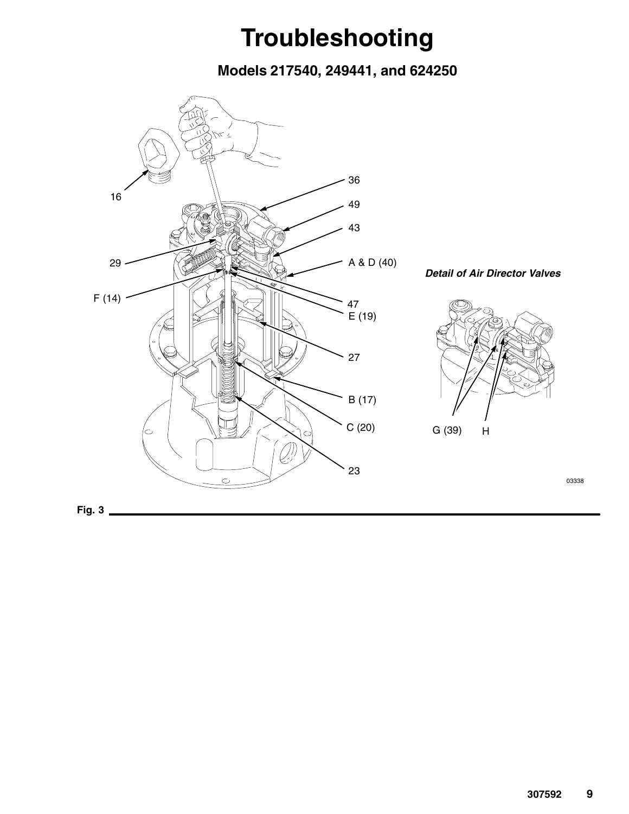# **Troubleshooting**

**Models 217540, 249441, and 624250**

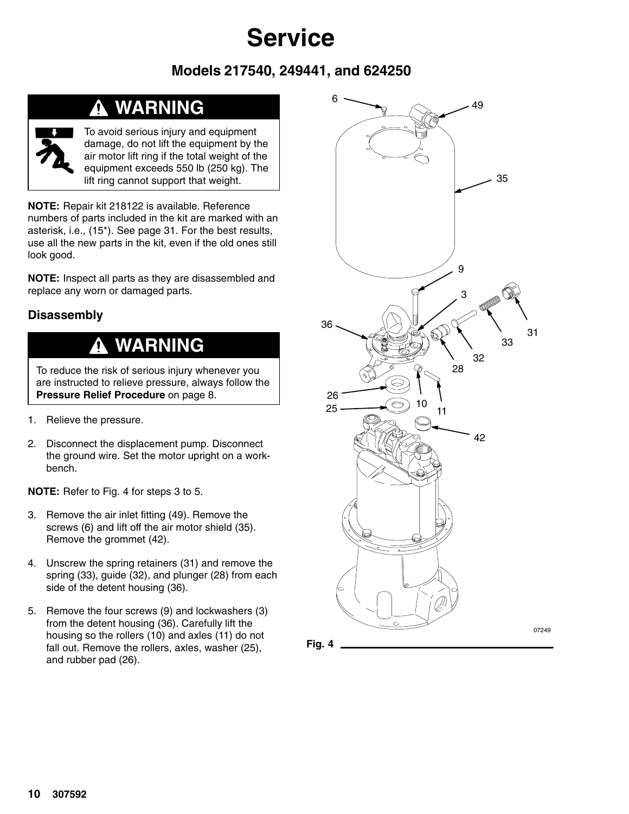### **Models 217540, 249441, and 624250**

### **WARNING**



To avoid serious injury and equipment damage, do not lift the equipment by the air motor lift ring if the total weight of the equipment exceeds 550 lb (250 kg). The lift ring cannot support that weight.

**NOTE:** Repair kit 218122 is available. Reference numbers of parts included in the kit are marked with an asterisk, i.e., (15\*). See page 31. For the best results, use all the new parts in the kit, even if the old ones still look good.

**NOTE:** Inspect all parts as they are disassembled and replace any worn or damaged parts.

### **Disassembly**

### **WARNING**

To reduce the risk of serious injury whenever you are instructed to relieve pressure, always follow the **Pressure Relief Procedure** on page 8.

- 1. Relieve the pressure.
- 2. Disconnect the displacement pump. Disconnect the ground wire. Set the motor upright on a workbench.

**NOTE:** Refer to Fig. 4 for steps 3 to 5.

- 3. Remove the air inlet fitting (49). Remove the screws (6) and lift off the air motor shield (35). Remove the grommet (42).
- 4. Unscrew the spring retainers (31) and remove the spring (33), guide (32), and plunger (28) from each side of the detent housing (36).
- 5. Remove the four screws (9) and lockwashers (3) from the detent housing (36). Carefully lift the housing so the rollers (10) and axles (11) do not fall out. Remove the rollers, axles, washer (25), and rubber pad (26).



**Fig. 4**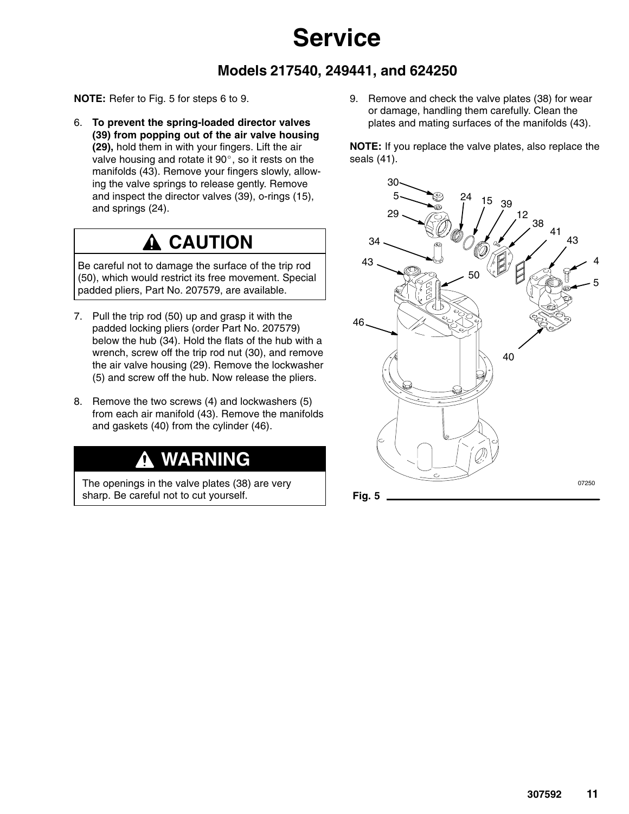### **Models 217540, 249441, and 624250**

**NOTE:** Refer to Fig. 5 for steps 6 to 9.

6. **To prevent the spring-loaded director valves (39) from popping out of the air valve housing (29),** hold them in with your fingers. Lift the air valve housing and rotate it  $90^\circ$ , so it rests on the manifolds (43). Remove your fingers slowly, allowing the valve springs to release gently. Remove and inspect the director valves (39), o-rings (15), and springs (24).

## **A CAUTION**

Be careful not to damage the surface of the trip rod (50), which would restrict its free movement. Special padded pliers, Part No. 207579, are available.

- 7. Pull the trip rod (50) up and grasp it with the padded locking pliers (order Part No. 207579) below the hub (34). Hold the flats of the hub with a wrench, screw off the trip rod nut (30), and remove the air valve housing (29). Remove the lockwasher (5) and screw off the hub. Now release the pliers.
- 8. Remove the two screws (4) and lockwashers (5) from each air manifold (43). Remove the manifolds and gaskets (40) from the cylinder (46).

## **WARNING**

The openings in the valve plates (38) are very sharp. Be careful not to cut yourself.

9. Remove and check the valve plates (38) for wear or damage, handling them carefully. Clean the plates and mating surfaces of the manifolds (43).

**NOTE:** If you replace the valve plates, also replace the seals (41).

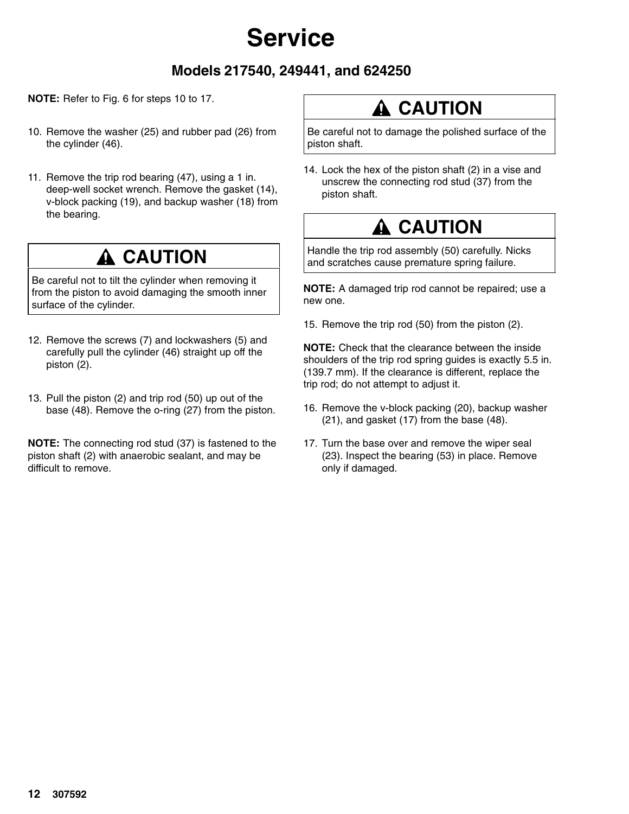### **Models 217540, 249441, and 624250**

**NOTE:** Refer to Fig. 6 for steps 10 to 17.

- 10. Remove the washer (25) and rubber pad (26) from the cylinder (46).
- 11. Remove the trip rod bearing (47), using a 1 in. deep-well socket wrench. Remove the gasket (14), v-block packing (19), and backup washer (18) from the bearing.

### **A CAUTION**

Be careful not to tilt the cylinder when removing it from the piston to avoid damaging the smooth inner surface of the cylinder.

- 12. Remove the screws (7) and lockwashers (5) and carefully pull the cylinder (46) straight up off the piston (2).
- 13. Pull the piston (2) and trip rod (50) up out of the base (48). Remove the o-ring (27) from the piston.

**NOTE:** The connecting rod stud (37) is fastened to the piston shaft (2) with anaerobic sealant, and may be difficult to remove.

## **A CAUTION**

Be careful not to damage the polished surface of the piston shaft.

14. Lock the hex of the piston shaft (2) in a vise and unscrew the connecting rod stud (37) from the piston shaft.

## **A CAUTION**

Handle the trip rod assembly (50) carefully. Nicks and scratches cause premature spring failure.

**NOTE:** A damaged trip rod cannot be repaired; use a new one.

15. Remove the trip rod (50) from the piston (2).

**NOTE:** Check that the clearance between the inside shoulders of the trip rod spring guides is exactly 5.5 in. (139.7 mm). If the clearance is different, replace the trip rod; do not attempt to adjust it.

- 16. Remove the v-block packing (20), backup washer (21), and gasket (17) from the base (48).
- 17. Turn the base over and remove the wiper seal (23). Inspect the bearing (53) in place. Remove only if damaged.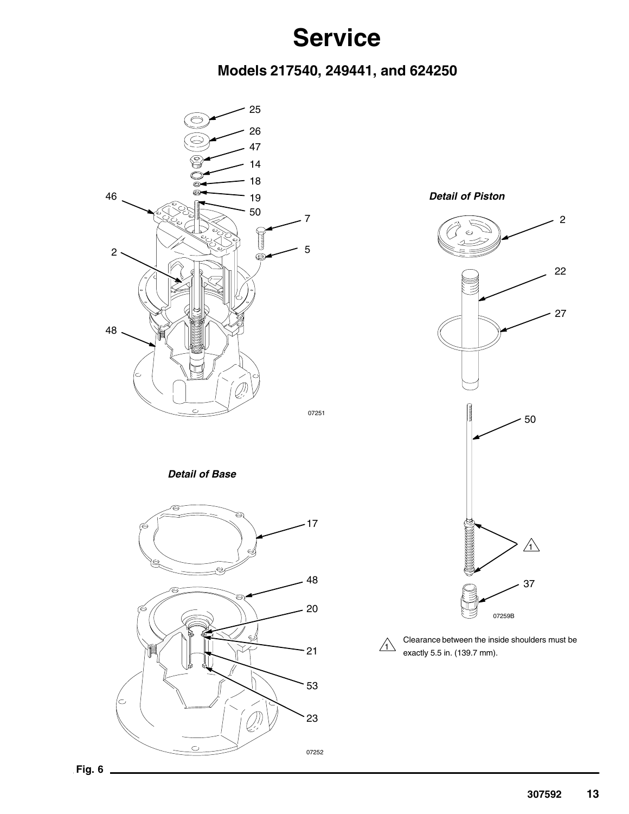### **Models 217540, 249441, and 624250**



*Detail of Base*



*Detail of Piston*





Clearance between the inside shoulders must be exactly 5.5 in. (139.7 mm).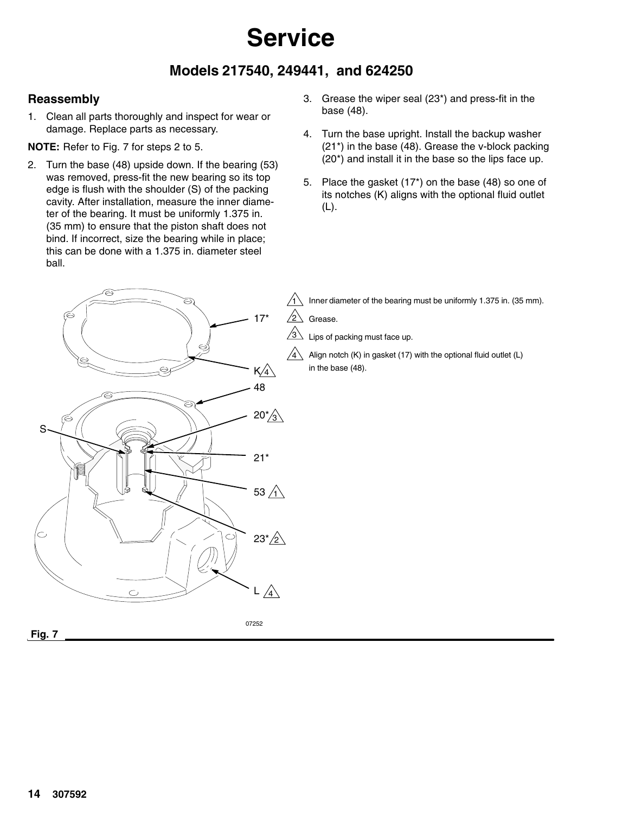### **Models 217540, 249441, and 624250**

### **Reassembly**

1. Clean all parts thoroughly and inspect for wear or damage. Replace parts as necessary.

**NOTE:** Refer to Fig. 7 for steps 2 to 5.

- 2. Turn the base (48) upside down. If the bearing (53) was removed, press-fit the new bearing so its top edge is flush with the shoulder (S) of the packing cavity. After installation, measure the inner diameter of the bearing. It must be uniformly 1.375 in. (35 mm) to ensure that the piston shaft does not bind. If incorrect, size the bearing while in place; this can be done with a 1.375 in. diameter steel ball.
- 3. Grease the wiper seal (23\*) and press-fit in the base (48).
- 4. Turn the base upright. Install the backup washer (21\*) in the base (48). Grease the v-block packing (20\*) and install it in the base so the lips face up.
- 5. Place the gasket (17\*) on the base (48) so one of its notches (K) aligns with the optional fluid outlet (L).

17\* ⇨ K 4 48 6 20 $^{\ast}\!/\!\!\mathrm{s}$ S21\* 53  $\Delta$ ⊂. 23\*<u>/2</u>  $\mathbb{A}$ L

07252

 $\overline{11}$  Inner diameter of the bearing must be uniformly 1.375 in. (35 mm).

 $/_{2} \backslash$ Grease.

4

 $\sqrt{3}$ Lips of packing must face up.

Align notch (K) in gasket (17) with the optional fluid outlet (L) in the base (48).

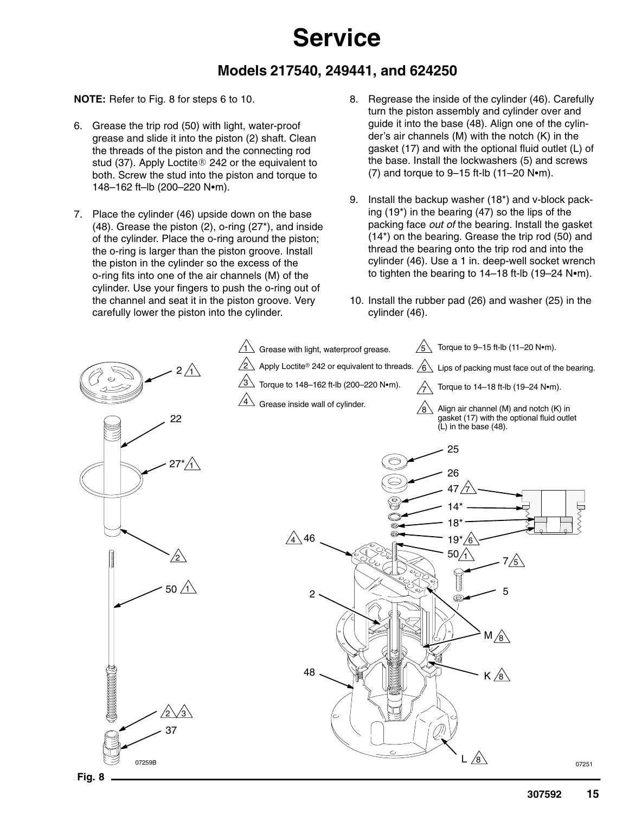### **Models 217540, 249441, and 624250**

#### **NOTE:** Refer to Fig. 8 for steps 6 to 10.

- 6. Grease the trip rod (50) with light, water-proof grease and slide it into the piston (2) shaft. Clean the threads of the piston and the connecting rod stud (37). Apply Loctite® 242 or the equivalent to both. Screw the stud into the piston and torque to 148-162 ft-lb (200-220 N•m).
- 7. Place the cylinder (46) upside down on the base (48). Grease the piston (2), o-ring (27\*), and inside of the cylinder. Place the o-ring around the piston; the o-ring is larger than the piston groove. Install the piston in the cylinder so the excess of the o-ring fits into one of the air channels (M) of the cylinder. Use your fingers to push the o-ring out of the channel and seat it in the piston groove. Very carefully lower the piston into the cylinder.
- 8. Regrease the inside of the cylinder (46). Carefully turn the piston assembly and cylinder over and guide it into the base (48). Align one of the cylinder's air channels (M) with the notch (K) in the gasket (17) and with the optional fluid outlet (L) of the base. Install the lockwashers (5) and screws  $(7)$  and torque to 9–15 ft-lb  $(11–20 \text{ N} \cdot \text{m})$ .
- 9. Install the backup washer (18\*) and v-block packing (19\*) in the bearing (47) so the lips of the packing face *out of* the bearing. Install the gasket (14\*) on the bearing. Grease the trip rod (50) and thread the bearing onto the trip rod and into the cylinder (46). Use a 1 in. deep-well socket wrench to tighten the bearing to  $14-18$  ft-lb (19-24 N $\bullet$ m).
- 10. Install the rubber pad (26) and washer (25) in the cylinder (46).

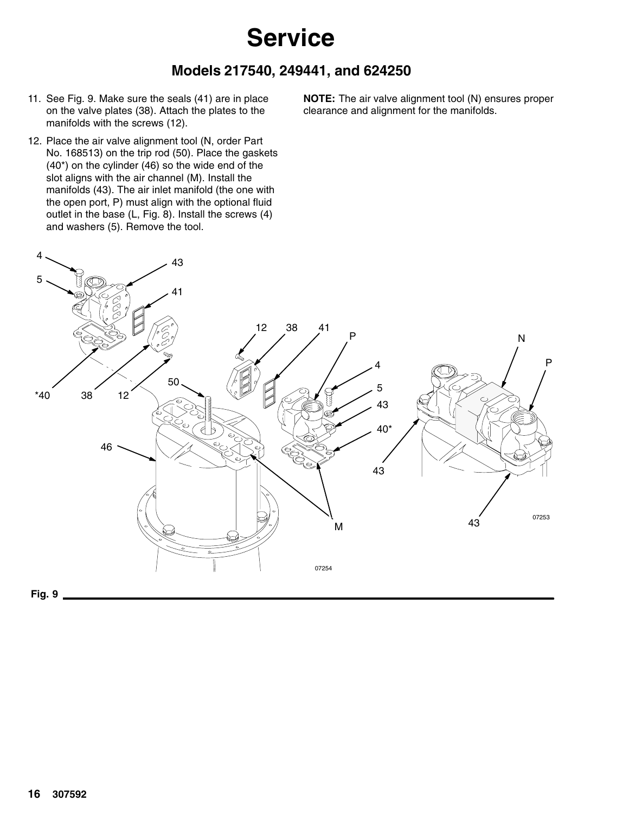### **Models 217540, 249441, and 624250**

- 11. See Fig. 9. Make sure the seals (41) are in place on the valve plates (38). Attach the plates to the manifolds with the screws (12).
- 12. Place the air valve alignment tool (N, order Part No. 168513) on the trip rod (50). Place the gaskets (40\*) on the cylinder (46) so the wide end of the slot aligns with the air channel (M). Install the manifolds (43). The air inlet manifold (the one with the open port, P) must align with the optional fluid outlet in the base (L, Fig. 8). Install the screws (4) and washers (5). Remove the tool.

**NOTE:** The air valve alignment tool (N) ensures proper clearance and alignment for the manifolds.

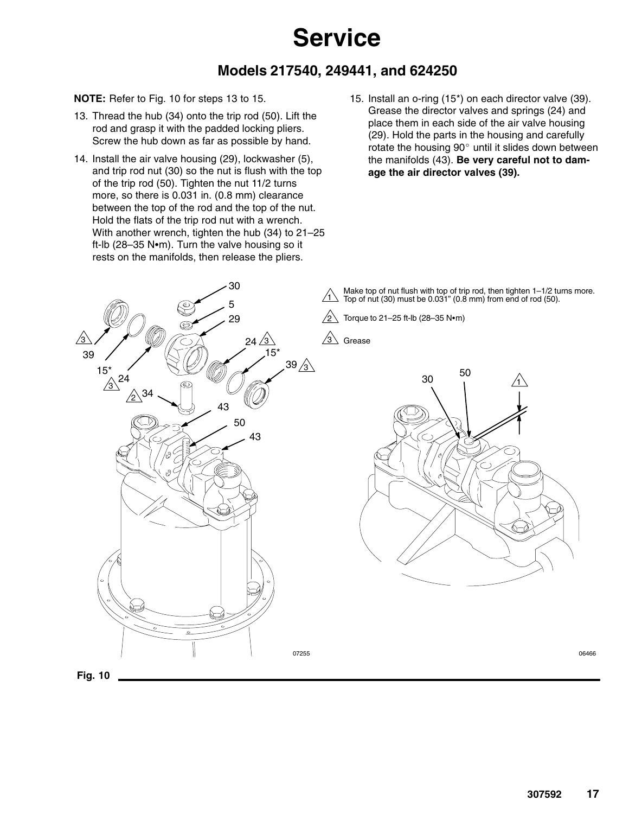### **Models 217540, 249441, and 624250**

#### **NOTE:** Refer to Fig. 10 for steps 13 to 15.

- 13. Thread the hub (34) onto the trip rod (50). Lift the rod and grasp it with the padded locking pliers. Screw the hub down as far as possible by hand.
- 14. Install the air valve housing (29), lockwasher (5), and trip rod nut (30) so the nut is flush with the top of the trip rod (50). Tighten the nut 11/2 turns more, so there is 0.031 in. (0.8 mm) clearance between the top of the rod and the top of the nut. Hold the flats of the trip rod nut with a wrench. With another wrench, tighten the hub (34) to 21–25 ft-lb (28-35 N $\cdot$ m). Turn the valve housing so it rests on the manifolds, then release the pliers.

30

15. Install an o-ring (15\*) on each director valve (39). Grease the director valves and springs (24) and place them in each side of the air valve housing (29). Hold the parts in the housing and carefully rotate the housing  $90^\circ$  until it slides down between the manifolds (43). **Be very careful not to damage the air director valves (39).**

Make top of nut flush with top of trip rod, then tighten  $1-1/2$  turns more. Top of nut (30) must be 0.031" (0.8 mm) from end of rod (50).



Torque to  $21-25$  ft-lb (28-35 N $\cdot$ m)

3 Grease



**Fig. 10**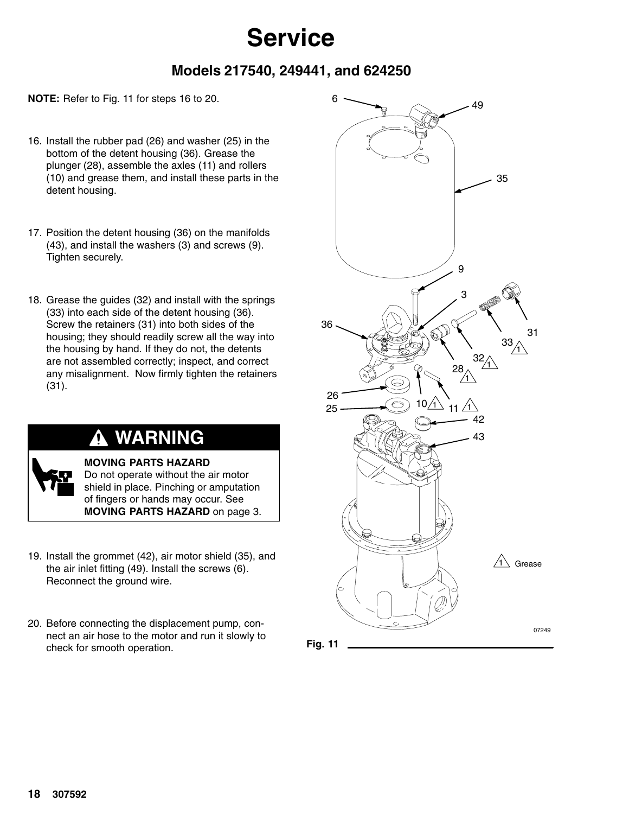### **Models 217540, 249441, and 624250**

**NOTE:** Refer to Fig. 11 for steps 16 to 20.

- 16. Install the rubber pad (26) and washer (25) in the bottom of the detent housing (36). Grease the plunger (28), assemble the axles (11) and rollers (10) and grease them, and install these parts in the detent housing.
- 17. Position the detent housing (36) on the manifolds (43), and install the washers (3) and screws (9). Tighten securely.
- 18. Grease the guides (32) and install with the springs (33) into each side of the detent housing (36). Screw the retainers (31) into both sides of the housing; they should readily screw all the way into the housing by hand. If they do not, the detents are not assembled correctly; inspect, and correct any misalignment. Now firmly tighten the retainers (31).

### **WARNING**

**MOVING PARTS HAZARD** Do not operate without the air motor shield in place. Pinching or amputation of fingers or hands may occur. See **MOVING PARTS HAZARD** on page 3.

- 19. Install the grommet (42), air motor shield (35), and the air inlet fitting (49). Install the screws (6). Reconnect the ground wire.
- 20. Before connecting the displacement pump, connect an air hose to the motor and run it slowly to check for smooth operation.



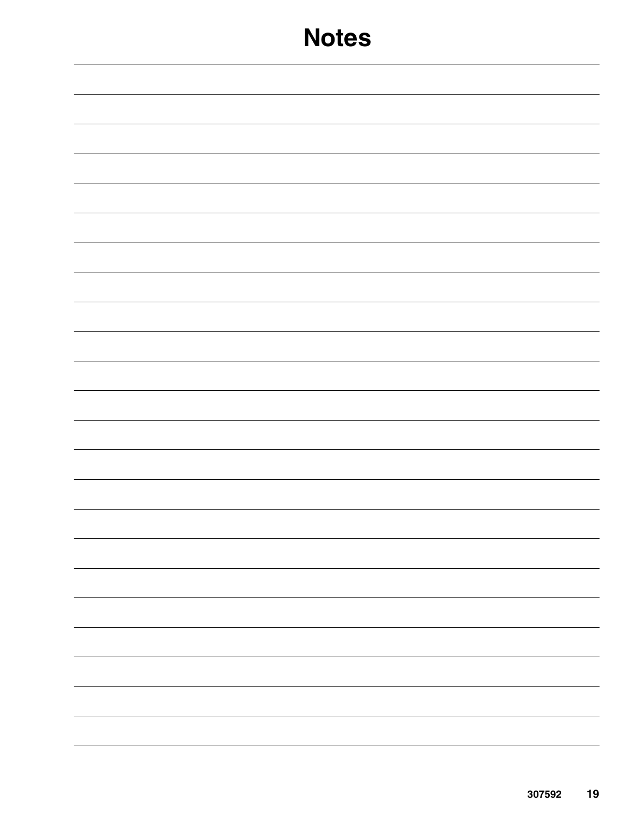|  | - |
|--|---|
|  |   |
|  |   |
|  |   |
|  |   |
|  |   |
|  |   |
|  |   |
|  |   |
|  |   |
|  |   |
|  |   |
|  |   |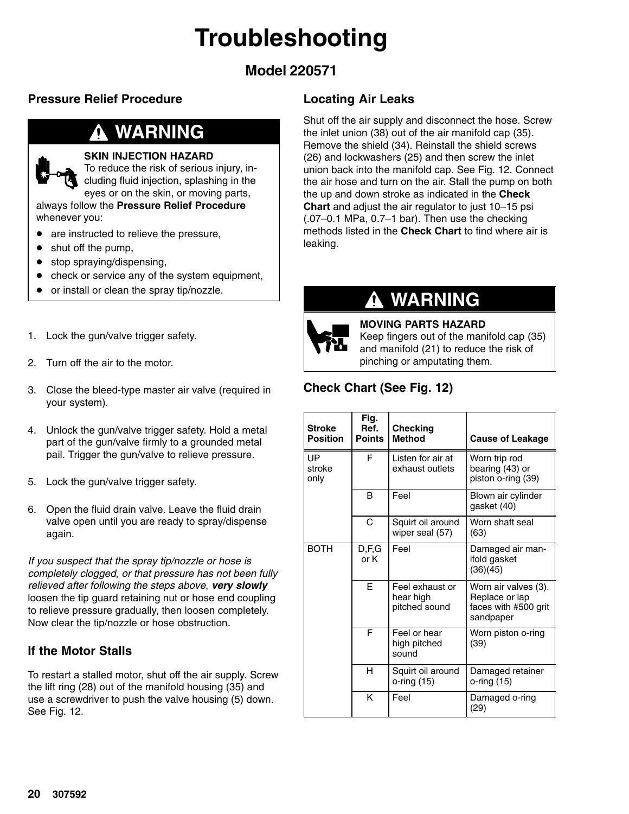# **Troubleshooting**

### **Model 220571**

### **Pressure Relief Procedure**

### **WARNING**

#### **SKIN INJECTION HAZARD**

To reduce the risk of serious injury, including fluid injection, splashing in the eyes or on the skin, or moving parts,

always follow the **Pressure Relief Procedure** whenever you:

- are instructed to relieve the pressure,
- shut off the pump,
- stop spraying/dispensing,
- check or service any of the system equipment,
- or install or clean the spray tip/nozzle.
- 1. Lock the gun/valve trigger safety.
- 2. Turn off the air to the motor.
- 3. Close the bleed-type master air valve (required in your system).
- 4. Unlock the gun/valve trigger safety. Hold a metal part of the gun/valve firmly to a grounded metal pail. Trigger the gun/valve to relieve pressure.
- 5. Lock the gun/valve trigger safety.
- 6. Open the fluid drain valve. Leave the fluid drain valve open until you are ready to spray/dispense again.

*If you suspect that the spray tip/nozzle or hose is completely clogged, or that pressure has not been fully relieved after following the steps above*, *very slowly* loosen the tip guard retaining nut or hose end coupling to relieve pressure gradually, then loosen completely. Now clear the tip/nozzle or hose obstruction.

### **If the Motor Stalls**

To restart a stalled motor, shut off the air supply. Screw the lift ring (28) out of the manifold housing (35) and use a screwdriver to push the valve housing (5) down. See Fig. 12.

### **Locating Air Leaks**

Shut off the air supply and disconnect the hose. Screw the inlet union (38) out of the air manifold cap (35). Remove the shield (34). Reinstall the shield screws (26) and lockwashers (25) and then screw the inlet union back into the manifold cap. See Fig. 12. Connect the air hose and turn on the air. Stall the pump on both the up and down stroke as indicated in the **Check Chart** and adjust the air regulator to just 10–15 psi (.07–0.1 MPa, 0.7–1 bar). Then use the checking methods listed in the **Check Chart** to find where air is leaking.

### **WARNING**



**MOVING PARTS HAZARD** Keep fingers out of the manifold cap (35) and manifold (21) to reduce the risk of pinching or amputating them.

### **Check Chart (See Fig. 12)**

| <b>Stroke</b><br><b>Position</b> | Fig.<br>Ref.<br><b>Points</b> | <b>Checking</b><br><b>Method</b>              | <b>Cause of Leakage</b>                                                     |
|----------------------------------|-------------------------------|-----------------------------------------------|-----------------------------------------------------------------------------|
| UP<br>stroke<br>only             | F                             | Listen for air at<br>exhaust outlets          | Worn trip rod<br>bearing (43) or<br>piston o-ring (39)                      |
|                                  | B                             | Feel                                          | Blown air cylinder<br>gasket (40)                                           |
|                                  | C                             | Squirt oil around<br>wiper seal (57)          | Worn shaft seal<br>(63)                                                     |
| <b>BOTH</b>                      | D,F,G<br>or K                 | Feel                                          | Damaged air man-<br>ifold gasket<br>(36)(45)                                |
|                                  | E                             | Feel exhaust or<br>hear high<br>pitched sound | Worn air valves (3).<br>Replace or lap<br>faces with #500 grit<br>sandpaper |
|                                  | F                             | Feel or hear<br>high pitched<br>sound         | Worn piston o-ring<br>(39)                                                  |
|                                  | н                             | Squirt oil around<br>o-ring (15)              | Damaged retainer<br>o-ring (15)                                             |
|                                  | K                             | Feel                                          | Damaged o-ring<br>(29)                                                      |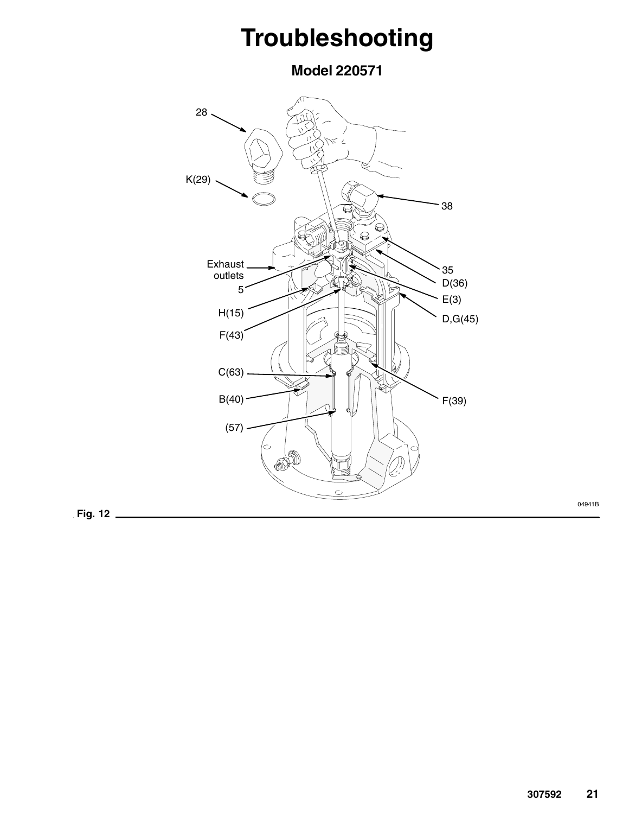# **Troubleshooting**

**Model 220571**



**Fig. 12**

04941B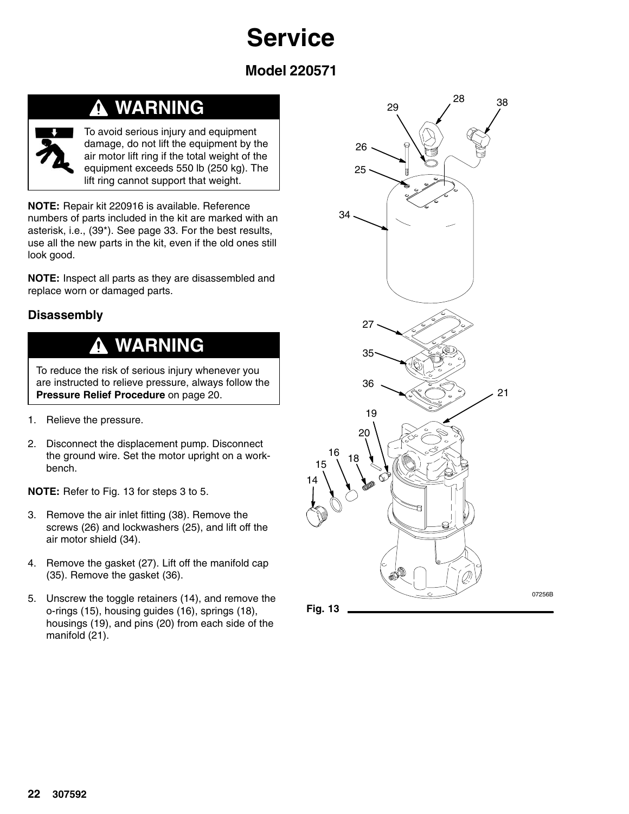**Model 220571**

### **WARNING**



To avoid serious injury and equipment damage, do not lift the equipment by the air motor lift ring if the total weight of the equipment exceeds 550 lb (250 kg). The lift ring cannot support that weight.

**NOTE:** Repair kit 220916 is available. Reference numbers of parts included in the kit are marked with an asterisk, i.e., (39\*). See page 33. For the best results, use all the new parts in the kit, even if the old ones still look good.

**NOTE:** Inspect all parts as they are disassembled and replace worn or damaged parts.

### **Disassembly**

#### **WARNING**  $\bf \Phi$

To reduce the risk of serious injury whenever you are instructed to relieve pressure, always follow the **Pressure Relief Procedure** on page 20.

- 1. Relieve the pressure.
- 2. Disconnect the displacement pump. Disconnect the ground wire. Set the motor upright on a workbench.

**NOTE:** Refer to Fig. 13 for steps 3 to 5.

- 3. Remove the air inlet fitting (38). Remove the screws (26) and lockwashers (25), and lift off the air motor shield (34).
- 4. Remove the gasket (27). Lift off the manifold cap (35). Remove the gasket (36).
- 5. Unscrew the toggle retainers (14), and remove the o-rings (15), housing guides (16), springs (18), housings (19), and pins (20) from each side of the manifold (21).

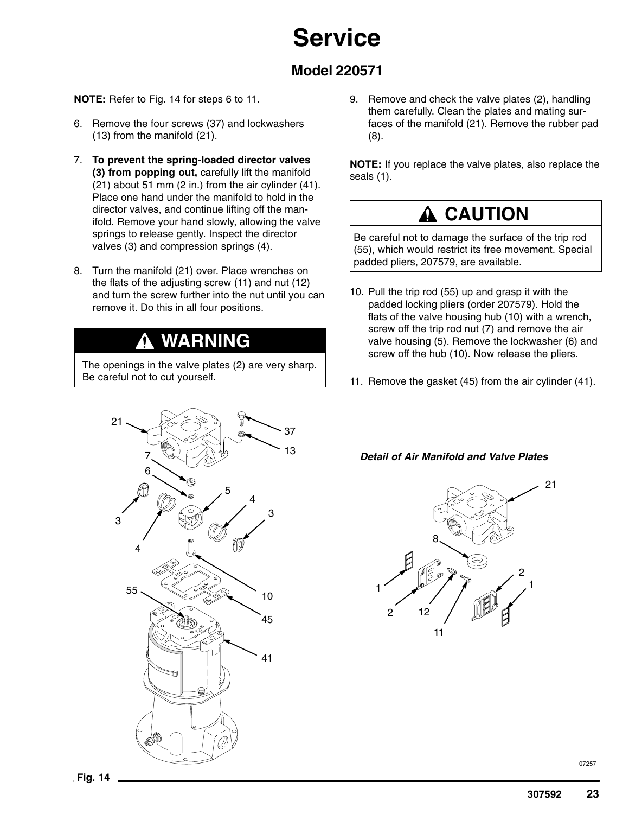### **Model 220571**

#### **NOTE:** Refer to Fig. 14 for steps 6 to 11.

- 6. Remove the four screws (37) and lockwashers (13) from the manifold (21).
- 7. **To prevent the spring-loaded director valves (3) from popping out,** carefully lift the manifold (21) about 51 mm (2 in.) from the air cylinder (41). Place one hand under the manifold to hold in the director valves, and continue lifting off the manifold. Remove your hand slowly, allowing the valve springs to release gently. Inspect the director valves (3) and compression springs (4).
- 8. Turn the manifold (21) over. Place wrenches on the flats of the adjusting screw (11) and nut (12) and turn the screw further into the nut until you can remove it. Do this in all four positions.

## **WARNING**

The openings in the valve plates (2) are very sharp. Be careful not to cut yourself.



9. Remove and check the valve plates (2), handling them carefully. Clean the plates and mating surfaces of the manifold (21). Remove the rubber pad (8).

**NOTE:** If you replace the valve plates, also replace the seals (1).

### **A** CAUTION

Be careful not to damage the surface of the trip rod (55), which would restrict its free movement. Special padded pliers, 207579, are available.

- 10. Pull the trip rod (55) up and grasp it with the padded locking pliers (order 207579). Hold the flats of the valve housing hub (10) with a wrench, screw off the trip rod nut (7) and remove the air valve housing (5). Remove the lockwasher (6) and screw off the hub (10). Now release the pliers.
- 11. Remove the gasket (45) from the air cylinder (41).

#### *Detail of Air Manifold and Valve Plates*

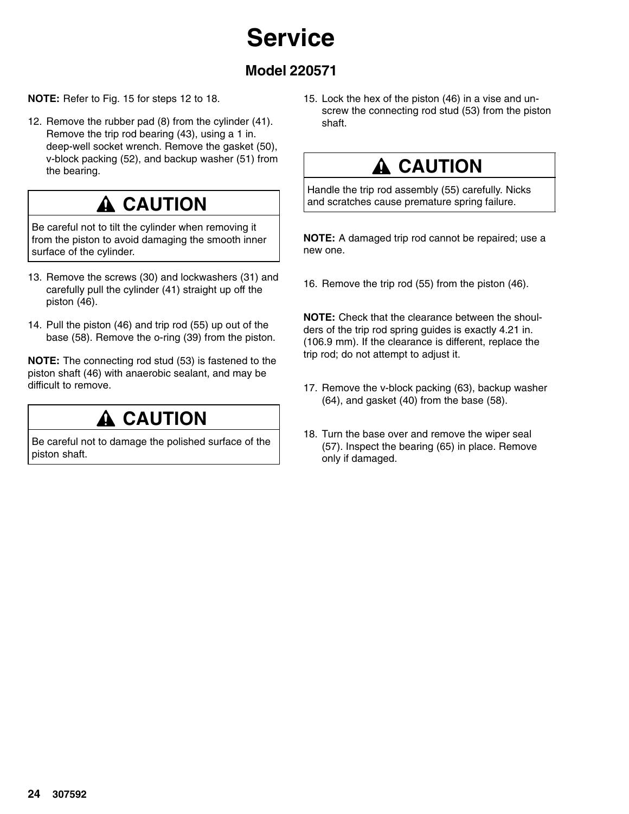### **Model 220571**

#### **NOTE:** Refer to Fig. 15 for steps 12 to 18.

12. Remove the rubber pad (8) from the cylinder (41). Remove the trip rod bearing (43), using a 1 in. deep-well socket wrench. Remove the gasket (50), v-block packing (52), and backup washer (51) from the bearing.

### **A CAUTION**

Be careful not to tilt the cylinder when removing it from the piston to avoid damaging the smooth inner surface of the cylinder.

- 13. Remove the screws (30) and lockwashers (31) and carefully pull the cylinder (41) straight up off the piston (46).
- 14. Pull the piston (46) and trip rod (55) up out of the base (58). Remove the o-ring (39) from the piston.

**NOTE:** The connecting rod stud (53) is fastened to the piston shaft (46) with anaerobic sealant, and may be difficult to remove.

### **A CAUTION**

Be careful not to damage the polished surface of the piston shaft.

15. Lock the hex of the piston (46) in a vise and unscrew the connecting rod stud (53) from the piston shaft.

## **A CAUTION**

Handle the trip rod assembly (55) carefully. Nicks and scratches cause premature spring failure.

**NOTE:** A damaged trip rod cannot be repaired; use a new one.

16. Remove the trip rod (55) from the piston (46).

**NOTE:** Check that the clearance between the shoulders of the trip rod spring guides is exactly 4.21 in. (106.9 mm). If the clearance is different, replace the trip rod; do not attempt to adjust it.

- 17. Remove the v-block packing (63), backup washer (64), and gasket (40) from the base (58).
- 18. Turn the base over and remove the wiper seal (57). Inspect the bearing (65) in place. Remove only if damaged.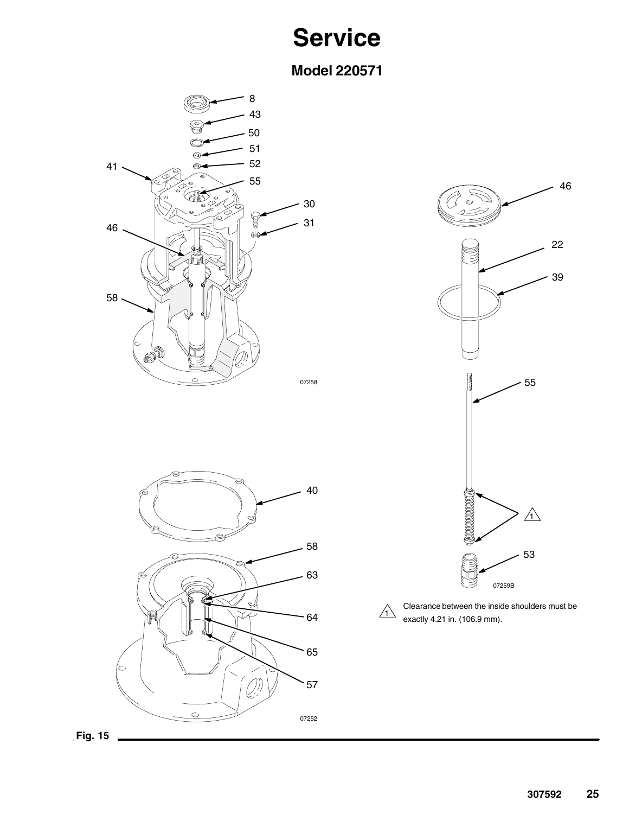**Model 220571**







 $\triangle$ exactly 4.21 in. (106.9 mm).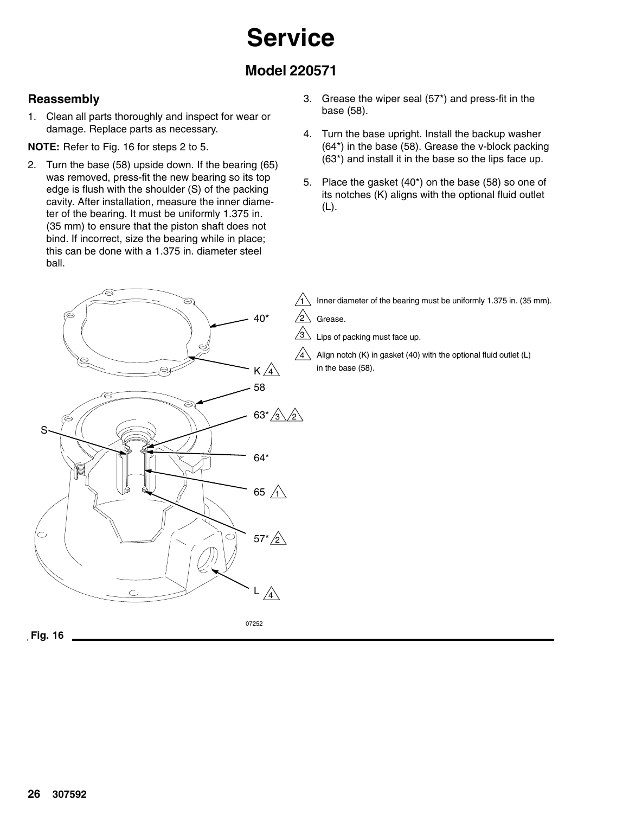### **Model 220571**

### **Reassembly**

1. Clean all parts thoroughly and inspect for wear or damage. Replace parts as necessary.

**NOTE:** Refer to Fig. 16 for steps 2 to 5.

- 2. Turn the base (58) upside down. If the bearing (65) was removed, press-fit the new bearing so its top edge is flush with the shoulder (S) of the packing cavity. After installation, measure the inner diameter of the bearing. It must be uniformly 1.375 in. (35 mm) to ensure that the piston shaft does not bind. If incorrect, size the bearing while in place; this can be done with a 1.375 in. diameter steel ball.
- 3. Grease the wiper seal (57\*) and press-fit in the base (58).
- 4. Turn the base upright. Install the backup washer (64\*) in the base (58). Grease the v-block packing (63\*) and install it in the base so the lips face up.
- 5. Place the gasket (40\*) on the base (58) so one of its notches (K) aligns with the optional fluid outlet (L).

Inner diameter of the bearing must be uniformly 1.375 in. (35 mm).

Grease.

Lips of packing must face up.

Align notch (K) in gasket (40) with the optional fluid outlet (L) in the base (58).



07252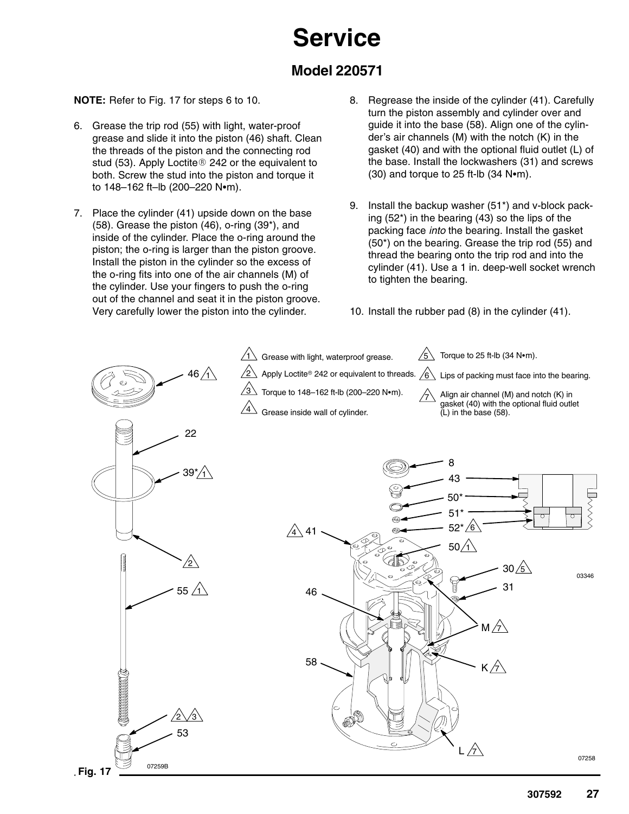### **Model 220571**

**NOTE:** Refer to Fig. 17 for steps 6 to 10.

- 6. Grease the trip rod (55) with light, water-proof grease and slide it into the piston (46) shaft. Clean the threads of the piston and the connecting rod stud (53). Apply Loctite® 242 or the equivalent to both. Screw the stud into the piston and torque it to 148-162 ft-lb (200-220 N•m).
- 7. Place the cylinder (41) upside down on the base (58). Grease the piston (46), o-ring (39\*), and inside of the cylinder. Place the o-ring around the piston; the o-ring is larger than the piston groove. Install the piston in the cylinder so the excess of the o-ring fits into one of the air channels (M) of the cylinder. Use your fingers to push the o-ring out of the channel and seat it in the piston groove. Very carefully lower the piston into the cylinder.
- 8. Regrease the inside of the cylinder (41). Carefully turn the piston assembly and cylinder over and guide it into the base (58). Align one of the cylinder's air channels (M) with the notch (K) in the gasket (40) and with the optional fluid outlet (L) of the base. Install the lockwashers (31) and screws  $(30)$  and torque to 25 ft-lb  $(34 N<sub>em</sub>)$ .
- 9. Install the backup washer (51\*) and v-block packing (52\*) in the bearing (43) so the lips of the packing face *into* the bearing. Install the gasket (50\*) on the bearing. Grease the trip rod (55) and thread the bearing onto the trip rod and into the cylinder (41). Use a 1 in. deep-well socket wrench to tighten the bearing.
- 10. Install the rubber pad (8) in the cylinder (41).

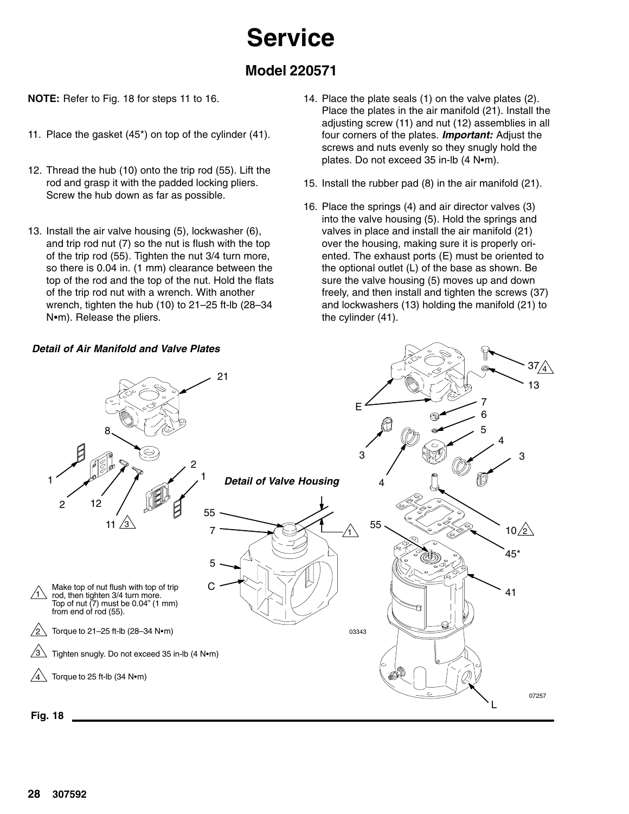### **Model 220571**

**NOTE:** Refer to Fig. 18 for steps 11 to 16.

- 11. Place the gasket (45\*) on top of the cylinder (41).
- 12. Thread the hub (10) onto the trip rod (55). Lift the rod and grasp it with the padded locking pliers. Screw the hub down as far as possible.
- 13. Install the air valve housing (5), lockwasher (6), and trip rod nut (7) so the nut is flush with the top of the trip rod (55). Tighten the nut 3/4 turn more, so there is 0.04 in. (1 mm) clearance between the top of the rod and the top of the nut. Hold the flats of the trip rod nut with a wrench. With another wrench, tighten the hub (10) to 21–25 ft-lb (28–34 N•m). Release the pliers.
- 14. Place the plate seals (1) on the valve plates (2). Place the plates in the air manifold (21). Install the adjusting screw (11) and nut (12) assemblies in all four corners of the plates. *Important:* Adjust the screws and nuts evenly so they snugly hold the plates. Do not exceed 35 in-lb (4 N•m).
- 15. Install the rubber pad (8) in the air manifold (21).
- 16. Place the springs (4) and air director valves (3) into the valve housing (5). Hold the springs and valves in place and install the air manifold (21) over the housing, making sure it is properly oriented. The exhaust ports (E) must be oriented to the optional outlet (L) of the base as shown. Be sure the valve housing (5) moves up and down freely, and then install and tighten the screws (37) and lockwashers (13) holding the manifold (21) to the cylinder (41).

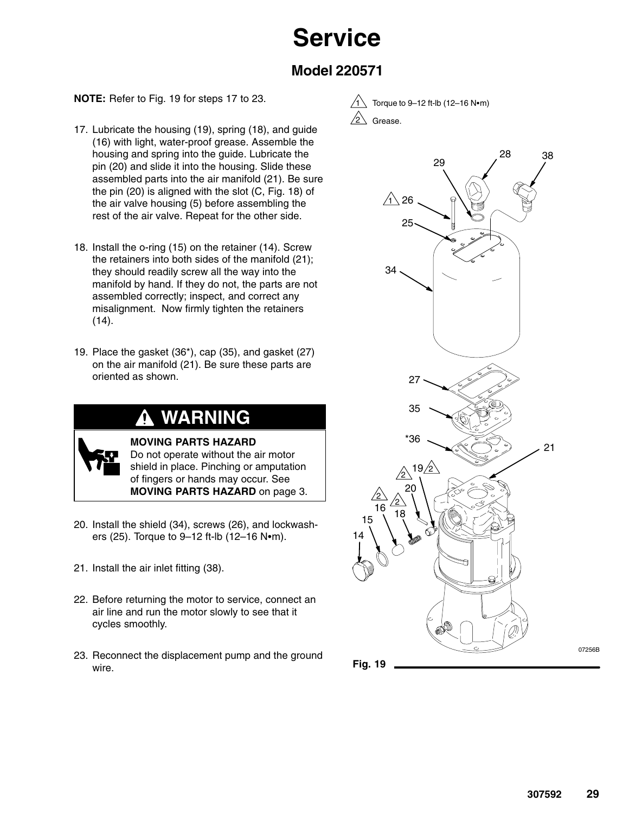### **Model 220571**

#### **NOTE:** Refer to Fig. 19 for steps 17 to 23.

- 17. Lubricate the housing (19), spring (18), and guide (16) with light, water-proof grease. Assemble the housing and spring into the guide. Lubricate the pin (20) and slide it into the housing. Slide these assembled parts into the air manifold (21). Be sure the pin (20) is aligned with the slot (C, Fig. 18) of the air valve housing (5) before assembling the rest of the air valve. Repeat for the other side.
- 18. Install the o-ring (15) on the retainer (14). Screw the retainers into both sides of the manifold (21); they should readily screw all the way into the manifold by hand. If they do not, the parts are not assembled correctly; inspect, and correct any misalignment. Now firmly tighten the retainers (14).
- 19. Place the gasket (36\*), cap (35), and gasket (27) on the air manifold (21). Be sure these parts are oriented as shown.

### **WARNING**



**MOVING PARTS HAZARD** Do not operate without the air motor shield in place. Pinching or amputation of fingers or hands may occur. See **MOVING PARTS HAZARD** on page 3.

- 20. Install the shield (34), screws (26), and lockwashers (25). Torque to 9-12 ft-lb (12-16 N•m).
- 21. Install the air inlet fitting (38).
- 22. Before returning the motor to service, connect an air line and run the motor slowly to see that it cycles smoothly.
- 23. Reconnect the displacement pump and the ground wire.





07256B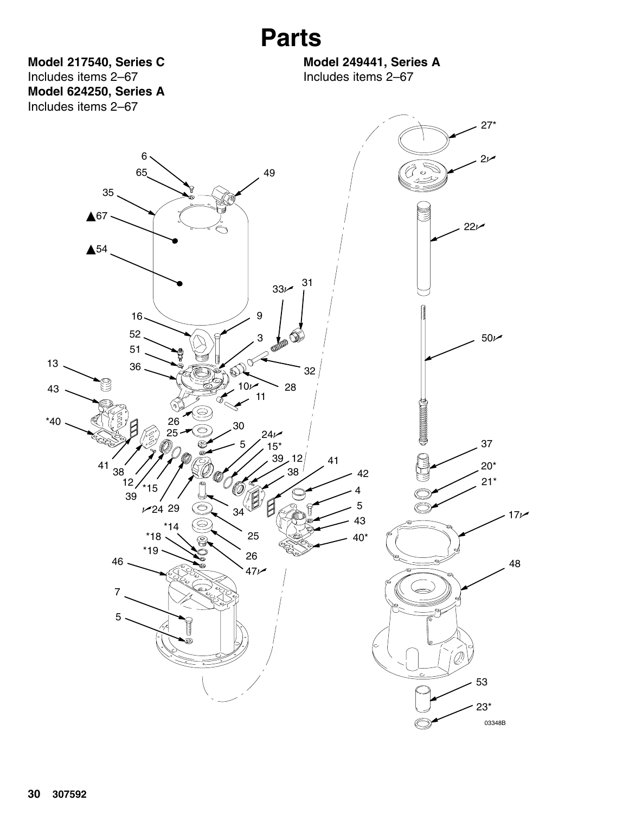**Model 217540, Series C** Includes items 2–67 **Model 624250, Series A** Includes items 2–67

**Model 249441, Series A** Includes items 2–67

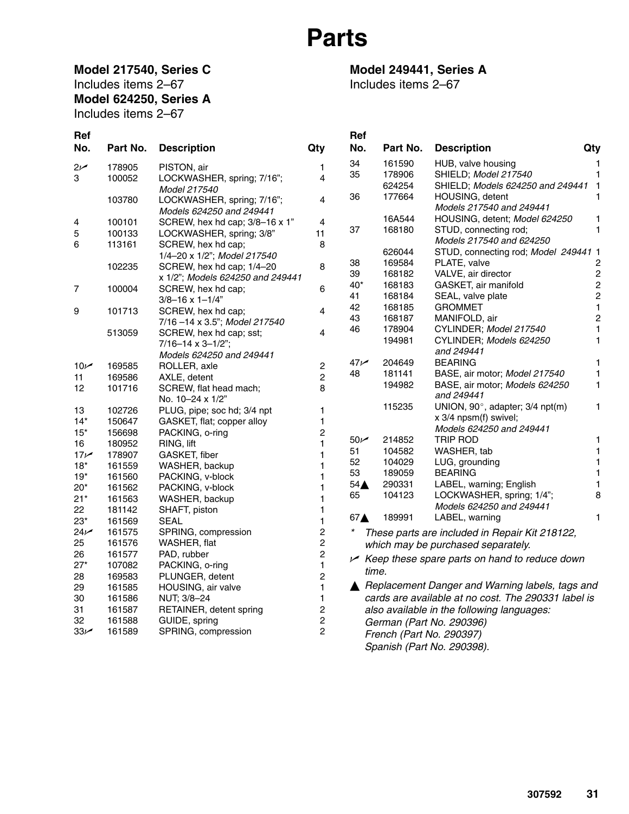### **Model 217540, Series C** Includes items 2–67 **Model 624250, Series A**

Includes items 2–67

### **Model 249441, Series A**

Includes items 2–67

| Ref             |          |                                  |                         | Ref                                 |          |                                                      |                  |
|-----------------|----------|----------------------------------|-------------------------|-------------------------------------|----------|------------------------------------------------------|------------------|
| No.             | Part No. | <b>Description</b>               | Qty                     | No.                                 | Part No. | <b>Description</b>                                   | Qty              |
| $2\nu$          | 178905   | PISTON, air                      | 1                       | 34                                  | 161590   | HUB, valve housing                                   | 1                |
| 3               | 100052   | LOCKWASHER, spring; 7/16";       | 4                       | 35                                  | 178906   | SHIELD; Model 217540                                 | 1                |
|                 |          | Model 217540                     |                         |                                     | 624254   | SHIELD; Models 624250 and 249441 1                   |                  |
|                 | 103780   | LOCKWASHER, spring; 7/16";       | 4                       | 36                                  | 177664   | HOUSING, detent                                      | 1                |
|                 |          | Models 624250 and 249441         |                         |                                     |          | Models 217540 and 249441                             |                  |
| 4               | 100101   | SCREW, hex hd cap; 3/8-16 x 1"   | $\overline{4}$          |                                     | 16A544   | HOUSING, detent; Model 624250                        | 1                |
| 5               | 100133   | LOCKWASHER, spring; 3/8"         | 11                      | 37                                  | 168180   | STUD, connecting rod;                                | 1                |
| 6               | 113161   | SCREW, hex hd cap;               | 8                       |                                     |          | Models 217540 and 624250                             |                  |
|                 |          | 1/4-20 x 1/2"; Model 217540      |                         |                                     | 626044   | STUD, connecting rod; Model 249441 1                 |                  |
|                 | 102235   | SCREW, hex hd cap; 1/4-20        | 8                       | 38                                  | 169584   | PLATE, valve                                         | $\boldsymbol{2}$ |
|                 |          | x 1/2"; Models 624250 and 249441 |                         | 39                                  | 168182   | VALVE, air director                                  | $\overline{c}$   |
| 7               | 100004   | SCREW, hex hd cap;               | 6                       | $40*$                               | 168183   | GASKET, air manifold                                 | $\overline{c}$   |
|                 |          | $3/8 - 16 \times 1 - 1/4$ "      |                         | 41                                  | 168184   | SEAL, valve plate                                    | $\mathbf 2$      |
| 9               | 101713   | SCREW, hex hd cap;               | 4                       | 42                                  | 168185   | <b>GROMMET</b>                                       | 1                |
|                 |          | 7/16 -14 x 3.5"; Model 217540    |                         | 43                                  | 168187   | MANIFOLD, air                                        | $\sqrt{2}$       |
|                 | 513059   | SCREW, hex hd cap; sst;          | 4                       | 46                                  | 178904   | CYLINDER; Model 217540                               | $\mathbf{1}$     |
|                 |          | $7/16 - 14 \times 3 - 1/2$ ";    |                         |                                     | 194981   | CYLINDER; Models 624250                              | $\mathbf{1}$     |
|                 |          | Models 624250 and 249441         |                         |                                     |          | and 249441                                           |                  |
| 10 <sub>k</sub> | 169585   | ROLLER, axle                     | 2                       | 47 <sub>k</sub>                     | 204649   | <b>BEARING</b>                                       | 1                |
| 11              | 169586   | AXLE, detent                     | $\overline{c}$          | 48                                  | 181141   | BASE, air motor; Model 217540                        | 1                |
| 12              | 101716   | SCREW, flat head mach;           | 8                       |                                     | 194982   | BASE, air motor; Models 624250                       | $\mathbf{1}$     |
|                 |          | No. 10-24 x 1/2"                 |                         |                                     |          | and 249441                                           |                  |
| 13              | 102726   | PLUG, pipe; soc hd; 3/4 npt      | 1                       |                                     | 115235   | UNION, 90°, adapter; 3/4 npt(m)                      | $\mathbf{1}$     |
| $14*$           | 150647   | GASKET, flat; copper alloy       | 1                       |                                     |          | x 3/4 npsm(f) swivel;                                |                  |
| $15*$           | 156698   | PACKING, o-ring                  | 2                       |                                     |          | Models 624250 and 249441                             |                  |
| 16              | 180952   | RING, lift                       | $\mathbf{1}$            | 50 <sub>k</sub>                     | 214852   | TRIP ROD                                             | 1                |
| 17 <sub>k</sub> | 178907   | GASKET, fiber                    | 1                       | 51                                  | 104582   | WASHER, tab                                          | 1                |
| $18*$           | 161559   | WASHER, backup                   | 1                       | 52                                  | 104029   | LUG, grounding                                       | 1                |
| $19*$           | 161560   | PACKING, v-block                 | 1                       | 53                                  | 189059   | <b>BEARING</b>                                       | $\mathbf{1}$     |
| $20*$           | 161562   | PACKING, v-block                 | 1                       | $54\triangle$                       | 290331   | LABEL, warning; English                              | 1                |
| $21*$           | 161563   | WASHER, backup                   | 1                       | 65                                  | 104123   | LOCKWASHER, spring; 1/4";                            | 8                |
| 22              | 181142   | SHAFT, piston                    | 1                       |                                     |          | Models 624250 and 249441                             |                  |
| $23*$           | 161569   | <b>SEAL</b>                      | 1                       | 67 <sub>A</sub>                     | 189991   | LABEL, warning                                       | 1                |
| $24\nu$         | 161575   | SPRING, compression              | $\overline{\mathbf{c}}$ | $^{\tiny{\textcolor{blue}{\star}}}$ |          | These parts are included in Repair Kit 218122,       |                  |
| 25              | 161576   | WASHER, flat                     | $\overline{c}$          |                                     |          | which may be purchased separately.                   |                  |
| 26              | 161577   | PAD, rubber                      | $\overline{c}$          |                                     |          |                                                      |                  |
| $27*$           | 107082   | PACKING, o-ring                  | $\mathbf{1}$            |                                     |          | $\vee$ Keep these spare parts on hand to reduce down |                  |
| 28              | 169583   | PLUNGER, detent                  | $\overline{c}$          |                                     | time.    |                                                      |                  |
| 29              | 161585   | HOUSING, air valve               | $\mathbf{1}$            |                                     |          | Replacement Danger and Warning labels, tags and      |                  |
| 30              | 161586   | NUT; 3/8-24                      | 1                       |                                     |          | cards are available at no cost. The 290331 label is  |                  |
| 31              | 161587   | RETAINER, detent spring          | $\overline{c}$          |                                     |          | also available in the following languages:           |                  |
| 32              | 161588   | GUIDE, spring                    | $\overline{c}$          |                                     |          | German (Part No. 290396)                             |                  |
| 33 <sub>1</sub> | 161589   | SPRING, compression              | $\overline{c}$          |                                     |          | French (Part No. 290397)                             |                  |
|                 |          |                                  |                         |                                     |          | Spanish (Part No. 290398).                           |                  |
|                 |          |                                  |                         |                                     |          |                                                      |                  |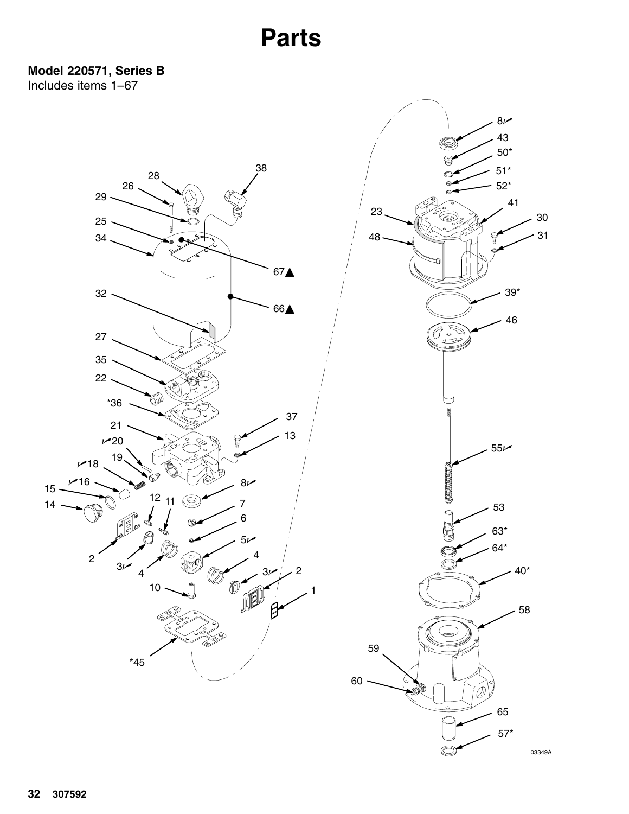**Model 220571, Series B** Includes items 1–67

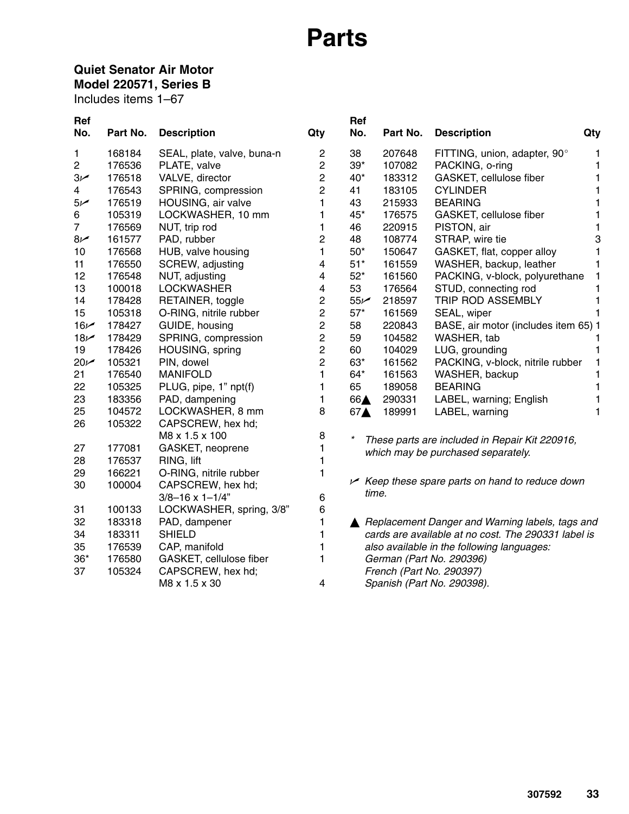### **Quiet Senator Air Motor**

**Model 220571, Series B**

Includes items 1–67

| <b>Ref</b>      |          |                             |                         | Ref     |          |                                                          |     |
|-----------------|----------|-----------------------------|-------------------------|---------|----------|----------------------------------------------------------|-----|
| No.             | Part No. | <b>Description</b>          | Qty                     | No.     | Part No. | <b>Description</b>                                       | Qty |
| 1.              | 168184   | SEAL, plate, valve, buna-n  | $\overline{c}$          | 38      | 207648   | FITTING, union, adapter, 90°                             | 1   |
| 2               | 176536   | PLATE, valve                | $\overline{2}$          | $39*$   | 107082   | PACKING, o-ring                                          | 1   |
| $3\nu$          | 176518   | VALVE, director             | $\overline{c}$          | 40*     | 183312   | GASKET, cellulose fiber                                  | 1   |
| 4               | 176543   | SPRING, compression         | $\overline{2}$          | 41      | 183105   | <b>CYLINDER</b>                                          | 1   |
| 5 <sub>k</sub>  | 176519   | HOUSING, air valve          | 1                       | 43      | 215933   | <b>BEARING</b>                                           | 1   |
| 6               | 105319   | LOCKWASHER, 10 mm           | 1                       | 45*     | 176575   | GASKET, cellulose fiber                                  | 1   |
| $\overline{7}$  | 176569   | NUT, trip rod               | 1                       | 46      | 220915   | PISTON, air                                              | 1   |
| $8\nu$          | 161577   | PAD, rubber                 | $\overline{c}$          | 48      | 108774   | STRAP, wire tie                                          | 3   |
| 10              | 176568   | HUB, valve housing          | 1                       | $50*$   | 150647   | GASKET, flat, copper alloy                               | 1   |
| 11              | 176550   | SCREW, adjusting            | 4                       | $51*$   | 161559   | WASHER, backup, leather                                  | 1   |
| 12              | 176548   | NUT, adjusting              | $\overline{\mathbf{4}}$ | $52*$   | 161560   | PACKING, v-block, polyurethane                           | 1   |
| 13              | 100018   | <b>LOCKWASHER</b>           | $\overline{\mathbf{4}}$ | 53      | 176564   | STUD, connecting rod                                     | 1   |
| 14              | 178428   | RETAINER, toggle            | $\overline{c}$          | 55/     | 218597   | TRIP ROD ASSEMBLY                                        | 1   |
| 15              | 105318   | O-RING, nitrile rubber      | $\overline{c}$          | $57*$   | 161569   | SEAL, wiper                                              | 1   |
| $16\nu$         | 178427   | GUIDE, housing              | $\overline{c}$          | 58      | 220843   | BASE, air motor (includes item 65) 1                     |     |
| 18 <sub>k</sub> | 178429   | SPRING, compression         | $\overline{c}$          | 59      | 104582   | WASHER, tab                                              | 1   |
| 19              | 178426   | HOUSING, spring             | $\overline{c}$          | 60      | 104029   | LUG, grounding                                           | 1   |
| $20\nu$         | 105321   | PIN, dowel                  | $\overline{2}$          | 63*     | 161562   | PACKING, v-block, nitrile rubber                         | 1   |
| 21              | 176540   | <b>MANIFOLD</b>             | 1                       | $64*$   | 161563   | WASHER, backup                                           | 1   |
| 22              | 105325   | PLUG, pipe, 1" npt(f)       | 1                       | 65      | 189058   | <b>BEARING</b>                                           | 1   |
| 23              | 183356   | PAD, dampening              | 1                       | 66A     | 290331   | LABEL, warning; English                                  | 1   |
| 25              | 104572   | LOCKWASHER, 8 mm            | 8                       | 67▲     | 189991   | LABEL, warning                                           | 1   |
| 26              | 105322   | CAPSCREW, hex hd;           |                         |         |          |                                                          |     |
|                 |          | M8 x 1.5 x 100              | 8                       | $\star$ |          | These parts are included in Repair Kit 220916,           |     |
| 27              | 177081   | GASKET, neoprene            | 1                       |         |          | which may be purchased separately.                       |     |
| 28              | 176537   | RING, lift                  | 1                       |         |          |                                                          |     |
| 29              | 166221   | O-RING, nitrile rubber      | 1                       |         |          | $\vee$ Keep these spare parts on hand to reduce down     |     |
| 30              | 100004   | CAPSCREW, hex hd;           |                         | time.   |          |                                                          |     |
|                 |          | $3/8 - 16 \times 1 - 1/4$ " | 6                       |         |          |                                                          |     |
| 31              | 100133   | LOCKWASHER, spring, 3/8"    | 6                       |         |          |                                                          |     |
| 32              | 183318   | PAD, dampener               | $\mathbf{1}$            |         |          | <b>△ Replacement Danger and Warning labels, tags and</b> |     |
| 34              | 183311   | <b>SHIELD</b>               | 1                       |         |          | cards are available at no cost. The 290331 label is      |     |
| 35              | 176539   | CAP, manifold               | 1                       |         |          | also available in the following languages:               |     |
| $36*$           | 176580   | GASKET, cellulose fiber     | 1                       |         |          | German (Part No. 290396)                                 |     |
| 37              | 105324   | CAPSCREW, hex hd;           |                         |         |          | French (Part No. 290397)                                 |     |
|                 |          | M8 x 1.5 x 30               | 4                       |         |          | Spanish (Part No. 290398).                               |     |
|                 |          |                             |                         |         |          |                                                          |     |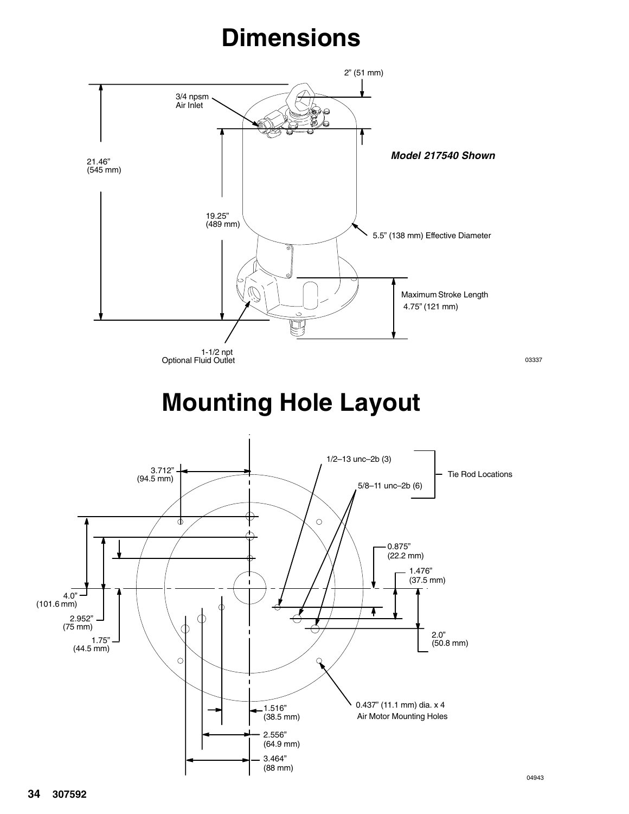# **Dimensions**

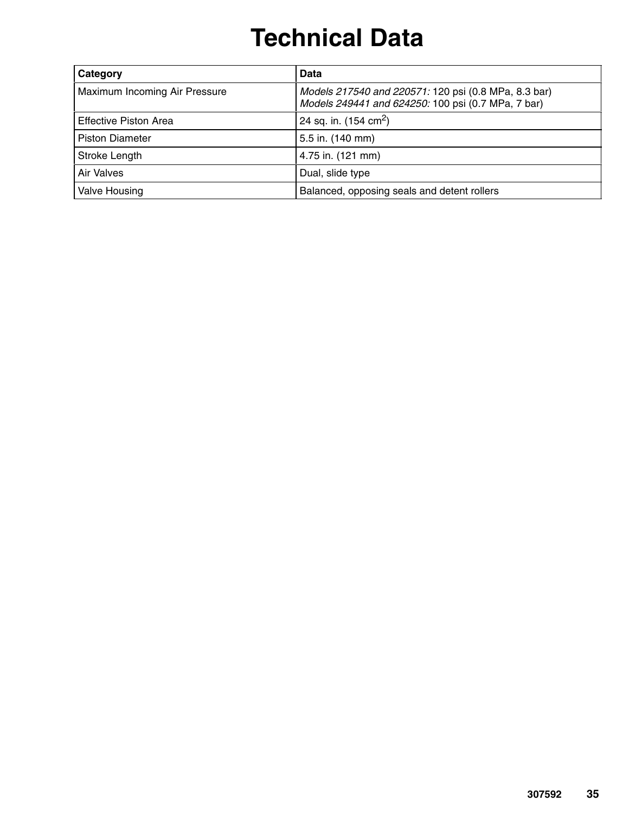# **Technical Data**

| Category                      | Data                                                                                                       |  |  |
|-------------------------------|------------------------------------------------------------------------------------------------------------|--|--|
| Maximum Incoming Air Pressure | Models 217540 and 220571: 120 psi (0.8 MPa, 8.3 bar)<br>Models 249441 and 624250: 100 psi (0.7 MPa, 7 bar) |  |  |
| Effective Piston Area         | 24 sq. in. $(154 \text{ cm}^2)$                                                                            |  |  |
| <b>Piston Diameter</b>        | 5.5 in. (140 mm)                                                                                           |  |  |
| Stroke Length                 | 4.75 in. (121 mm)                                                                                          |  |  |
| Air Valves                    | Dual, slide type                                                                                           |  |  |
| Valve Housing                 | Balanced, opposing seals and detent rollers                                                                |  |  |